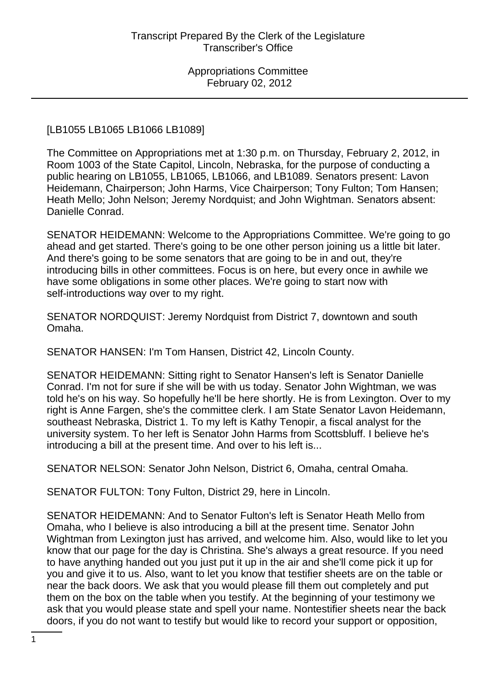## [LB1055 LB1065 LB1066 LB1089]

The Committee on Appropriations met at 1:30 p.m. on Thursday, February 2, 2012, in Room 1003 of the State Capitol, Lincoln, Nebraska, for the purpose of conducting a public hearing on LB1055, LB1065, LB1066, and LB1089. Senators present: Lavon Heidemann, Chairperson; John Harms, Vice Chairperson; Tony Fulton; Tom Hansen; Heath Mello; John Nelson; Jeremy Nordquist; and John Wightman. Senators absent: Danielle Conrad.

SENATOR HEIDEMANN: Welcome to the Appropriations Committee. We're going to go ahead and get started. There's going to be one other person joining us a little bit later. And there's going to be some senators that are going to be in and out, they're introducing bills in other committees. Focus is on here, but every once in awhile we have some obligations in some other places. We're going to start now with self-introductions way over to my right.

SENATOR NORDQUIST: Jeremy Nordquist from District 7, downtown and south Omaha.

SENATOR HANSEN: I'm Tom Hansen, District 42, Lincoln County.

SENATOR HEIDEMANN: Sitting right to Senator Hansen's left is Senator Danielle Conrad. I'm not for sure if she will be with us today. Senator John Wightman, we was told he's on his way. So hopefully he'll be here shortly. He is from Lexington. Over to my right is Anne Fargen, she's the committee clerk. I am State Senator Lavon Heidemann, southeast Nebraska, District 1. To my left is Kathy Tenopir, a fiscal analyst for the university system. To her left is Senator John Harms from Scottsbluff. I believe he's introducing a bill at the present time. And over to his left is...

SENATOR NELSON: Senator John Nelson, District 6, Omaha, central Omaha.

SENATOR FULTON: Tony Fulton, District 29, here in Lincoln.

SENATOR HEIDEMANN: And to Senator Fulton's left is Senator Heath Mello from Omaha, who I believe is also introducing a bill at the present time. Senator John Wightman from Lexington just has arrived, and welcome him. Also, would like to let you know that our page for the day is Christina. She's always a great resource. If you need to have anything handed out you just put it up in the air and she'll come pick it up for you and give it to us. Also, want to let you know that testifier sheets are on the table or near the back doors. We ask that you would please fill them out completely and put them on the box on the table when you testify. At the beginning of your testimony we ask that you would please state and spell your name. Nontestifier sheets near the back doors, if you do not want to testify but would like to record your support or opposition,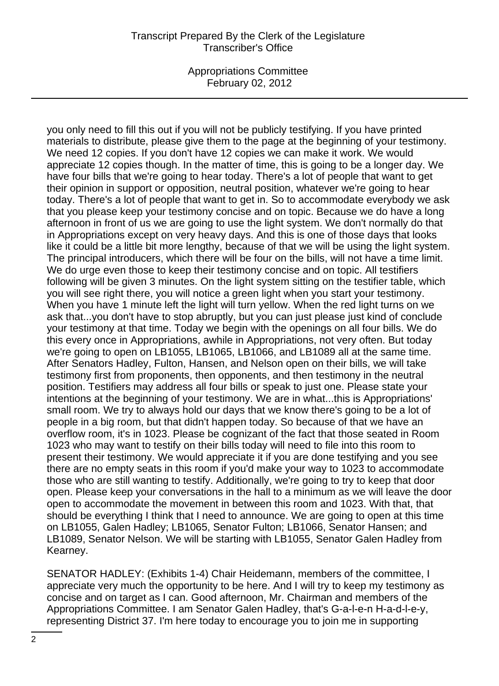Appropriations Committee February 02, 2012

you only need to fill this out if you will not be publicly testifying. If you have printed materials to distribute, please give them to the page at the beginning of your testimony. We need 12 copies. If you don't have 12 copies we can make it work. We would appreciate 12 copies though. In the matter of time, this is going to be a longer day. We have four bills that we're going to hear today. There's a lot of people that want to get their opinion in support or opposition, neutral position, whatever we're going to hear today. There's a lot of people that want to get in. So to accommodate everybody we ask that you please keep your testimony concise and on topic. Because we do have a long afternoon in front of us we are going to use the light system. We don't normally do that in Appropriations except on very heavy days. And this is one of those days that looks like it could be a little bit more lengthy, because of that we will be using the light system. The principal introducers, which there will be four on the bills, will not have a time limit. We do urge even those to keep their testimony concise and on topic. All testifiers following will be given 3 minutes. On the light system sitting on the testifier table, which you will see right there, you will notice a green light when you start your testimony. When you have 1 minute left the light will turn yellow. When the red light turns on we ask that...you don't have to stop abruptly, but you can just please just kind of conclude your testimony at that time. Today we begin with the openings on all four bills. We do this every once in Appropriations, awhile in Appropriations, not very often. But today we're going to open on LB1055, LB1065, LB1066, and LB1089 all at the same time. After Senators Hadley, Fulton, Hansen, and Nelson open on their bills, we will take testimony first from proponents, then opponents, and then testimony in the neutral position. Testifiers may address all four bills or speak to just one. Please state your intentions at the beginning of your testimony. We are in what...this is Appropriations' small room. We try to always hold our days that we know there's going to be a lot of people in a big room, but that didn't happen today. So because of that we have an overflow room, it's in 1023. Please be cognizant of the fact that those seated in Room 1023 who may want to testify on their bills today will need to file into this room to present their testimony. We would appreciate it if you are done testifying and you see there are no empty seats in this room if you'd make your way to 1023 to accommodate those who are still wanting to testify. Additionally, we're going to try to keep that door open. Please keep your conversations in the hall to a minimum as we will leave the door open to accommodate the movement in between this room and 1023. With that, that should be everything I think that I need to announce. We are going to open at this time on LB1055, Galen Hadley; LB1065, Senator Fulton; LB1066, Senator Hansen; and LB1089, Senator Nelson. We will be starting with LB1055, Senator Galen Hadley from Kearney.

SENATOR HADLEY: (Exhibits 1-4) Chair Heidemann, members of the committee, I appreciate very much the opportunity to be here. And I will try to keep my testimony as concise and on target as I can. Good afternoon, Mr. Chairman and members of the Appropriations Committee. I am Senator Galen Hadley, that's G-a-l-e-n H-a-d-l-e-y, representing District 37. I'm here today to encourage you to join me in supporting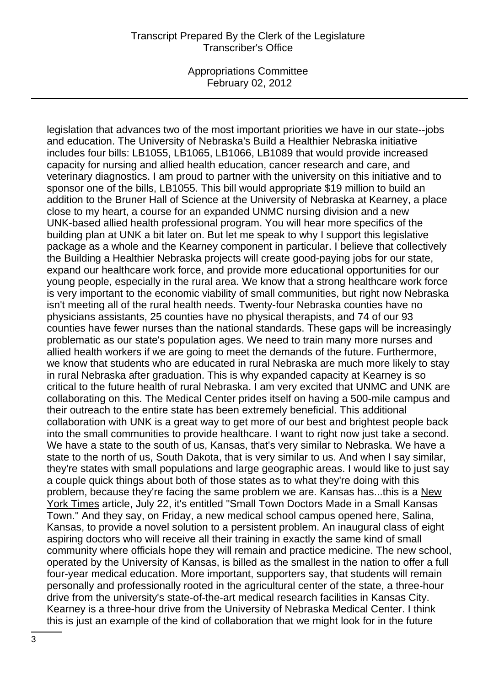Appropriations Committee February 02, 2012

legislation that advances two of the most important priorities we have in our state--jobs and education. The University of Nebraska's Build a Healthier Nebraska initiative includes four bills: LB1055, LB1065, LB1066, LB1089 that would provide increased capacity for nursing and allied health education, cancer research and care, and veterinary diagnostics. I am proud to partner with the university on this initiative and to sponsor one of the bills, LB1055. This bill would appropriate \$19 million to build an addition to the Bruner Hall of Science at the University of Nebraska at Kearney, a place close to my heart, a course for an expanded UNMC nursing division and a new UNK-based allied health professional program. You will hear more specifics of the building plan at UNK a bit later on. But let me speak to why I support this legislative package as a whole and the Kearney component in particular. I believe that collectively the Building a Healthier Nebraska projects will create good-paying jobs for our state, expand our healthcare work force, and provide more educational opportunities for our young people, especially in the rural area. We know that a strong healthcare work force is very important to the economic viability of small communities, but right now Nebraska isn't meeting all of the rural health needs. Twenty-four Nebraska counties have no physicians assistants, 25 counties have no physical therapists, and 74 of our 93 counties have fewer nurses than the national standards. These gaps will be increasingly problematic as our state's population ages. We need to train many more nurses and allied health workers if we are going to meet the demands of the future. Furthermore, we know that students who are educated in rural Nebraska are much more likely to stay in rural Nebraska after graduation. This is why expanded capacity at Kearney is so critical to the future health of rural Nebraska. I am very excited that UNMC and UNK are collaborating on this. The Medical Center prides itself on having a 500-mile campus and their outreach to the entire state has been extremely beneficial. This additional collaboration with UNK is a great way to get more of our best and brightest people back into the small communities to provide healthcare. I want to right now just take a second. We have a state to the south of us, Kansas, that's very similar to Nebraska. We have a state to the north of us, South Dakota, that is very similar to us. And when I say similar, they're states with small populations and large geographic areas. I would like to just say a couple quick things about both of those states as to what they're doing with this problem, because they're facing the same problem we are. Kansas has...this is a New York Times article, July 22, it's entitled "Small Town Doctors Made in a Small Kansas Town." And they say, on Friday, a new medical school campus opened here, Salina, Kansas, to provide a novel solution to a persistent problem. An inaugural class of eight aspiring doctors who will receive all their training in exactly the same kind of small community where officials hope they will remain and practice medicine. The new school, operated by the University of Kansas, is billed as the smallest in the nation to offer a full four-year medical education. More important, supporters say, that students will remain personally and professionally rooted in the agricultural center of the state, a three-hour drive from the university's state-of-the-art medical research facilities in Kansas City. Kearney is a three-hour drive from the University of Nebraska Medical Center. I think this is just an example of the kind of collaboration that we might look for in the future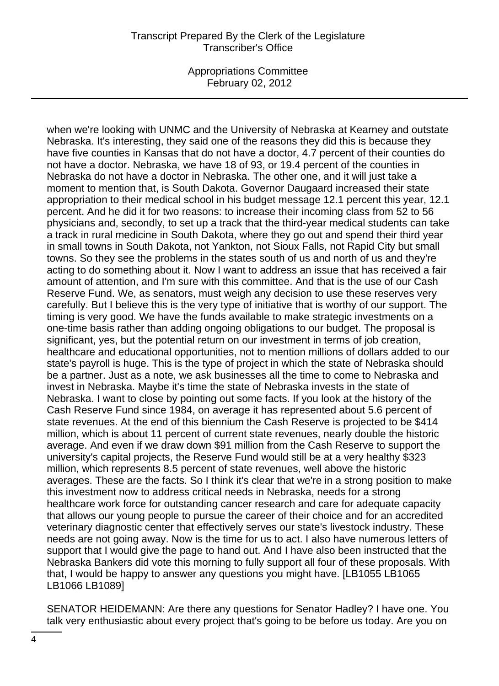Appropriations Committee February 02, 2012

when we're looking with UNMC and the University of Nebraska at Kearney and outstate Nebraska. It's interesting, they said one of the reasons they did this is because they have five counties in Kansas that do not have a doctor, 4.7 percent of their counties do not have a doctor. Nebraska, we have 18 of 93, or 19.4 percent of the counties in Nebraska do not have a doctor in Nebraska. The other one, and it will just take a moment to mention that, is South Dakota. Governor Daugaard increased their state appropriation to their medical school in his budget message 12.1 percent this year, 12.1 percent. And he did it for two reasons: to increase their incoming class from 52 to 56 physicians and, secondly, to set up a track that the third-year medical students can take a track in rural medicine in South Dakota, where they go out and spend their third year in small towns in South Dakota, not Yankton, not Sioux Falls, not Rapid City but small towns. So they see the problems in the states south of us and north of us and they're acting to do something about it. Now I want to address an issue that has received a fair amount of attention, and I'm sure with this committee. And that is the use of our Cash Reserve Fund. We, as senators, must weigh any decision to use these reserves very carefully. But I believe this is the very type of initiative that is worthy of our support. The timing is very good. We have the funds available to make strategic investments on a one-time basis rather than adding ongoing obligations to our budget. The proposal is significant, yes, but the potential return on our investment in terms of job creation, healthcare and educational opportunities, not to mention millions of dollars added to our state's payroll is huge. This is the type of project in which the state of Nebraska should be a partner. Just as a note, we ask businesses all the time to come to Nebraska and invest in Nebraska. Maybe it's time the state of Nebraska invests in the state of Nebraska. I want to close by pointing out some facts. If you look at the history of the Cash Reserve Fund since 1984, on average it has represented about 5.6 percent of state revenues. At the end of this biennium the Cash Reserve is projected to be \$414 million, which is about 11 percent of current state revenues, nearly double the historic average. And even if we draw down \$91 million from the Cash Reserve to support the university's capital projects, the Reserve Fund would still be at a very healthy \$323 million, which represents 8.5 percent of state revenues, well above the historic averages. These are the facts. So I think it's clear that we're in a strong position to make this investment now to address critical needs in Nebraska, needs for a strong healthcare work force for outstanding cancer research and care for adequate capacity that allows our young people to pursue the career of their choice and for an accredited veterinary diagnostic center that effectively serves our state's livestock industry. These needs are not going away. Now is the time for us to act. I also have numerous letters of support that I would give the page to hand out. And I have also been instructed that the Nebraska Bankers did vote this morning to fully support all four of these proposals. With that, I would be happy to answer any questions you might have. [LB1055 LB1065 LB1066 LB1089]

SENATOR HEIDEMANN: Are there any questions for Senator Hadley? I have one. You talk very enthusiastic about every project that's going to be before us today. Are you on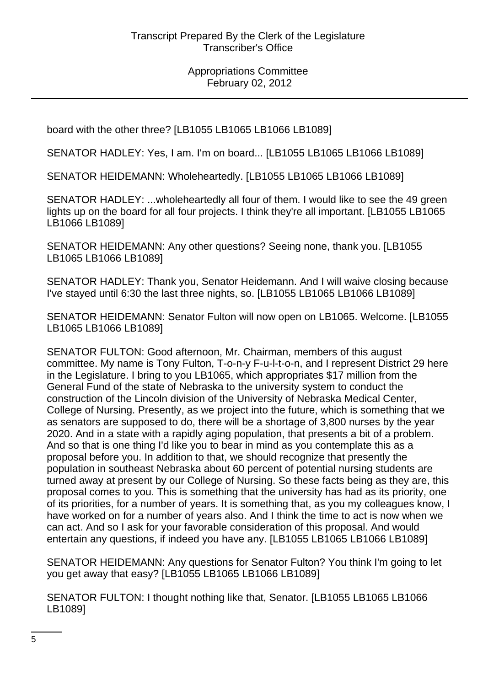board with the other three? [LB1055 LB1065 LB1066 LB1089]

SENATOR HADLEY: Yes, I am. I'm on board... [LB1055 LB1065 LB1066 LB1089]

SENATOR HEIDEMANN: Wholeheartedly. [LB1055 LB1065 LB1066 LB1089]

SENATOR HADLEY: ...wholeheartedly all four of them. I would like to see the 49 green lights up on the board for all four projects. I think they're all important. [LB1055 LB1065 LB1066 LB1089]

SENATOR HEIDEMANN: Any other questions? Seeing none, thank you. [LB1055 LB1065 LB1066 LB1089]

SENATOR HADLEY: Thank you, Senator Heidemann. And I will waive closing because I've stayed until 6:30 the last three nights, so. [LB1055 LB1065 LB1066 LB1089]

SENATOR HEIDEMANN: Senator Fulton will now open on LB1065. Welcome. [LB1055 LB1065 LB1066 LB1089]

SENATOR FULTON: Good afternoon, Mr. Chairman, members of this august committee. My name is Tony Fulton, T-o-n-y F-u-l-t-o-n, and I represent District 29 here in the Legislature. I bring to you LB1065, which appropriates \$17 million from the General Fund of the state of Nebraska to the university system to conduct the construction of the Lincoln division of the University of Nebraska Medical Center, College of Nursing. Presently, as we project into the future, which is something that we as senators are supposed to do, there will be a shortage of 3,800 nurses by the year 2020. And in a state with a rapidly aging population, that presents a bit of a problem. And so that is one thing I'd like you to bear in mind as you contemplate this as a proposal before you. In addition to that, we should recognize that presently the population in southeast Nebraska about 60 percent of potential nursing students are turned away at present by our College of Nursing. So these facts being as they are, this proposal comes to you. This is something that the university has had as its priority, one of its priorities, for a number of years. It is something that, as you my colleagues know, I have worked on for a number of years also. And I think the time to act is now when we can act. And so I ask for your favorable consideration of this proposal. And would entertain any questions, if indeed you have any. [LB1055 LB1065 LB1066 LB1089]

SENATOR HEIDEMANN: Any questions for Senator Fulton? You think I'm going to let you get away that easy? [LB1055 LB1065 LB1066 LB1089]

SENATOR FULTON: I thought nothing like that, Senator. [LB1055 LB1065 LB1066 LB1089]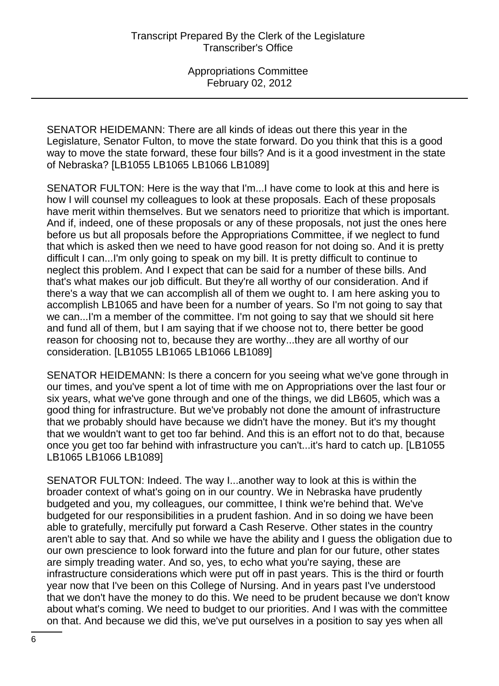SENATOR HEIDEMANN: There are all kinds of ideas out there this year in the Legislature, Senator Fulton, to move the state forward. Do you think that this is a good way to move the state forward, these four bills? And is it a good investment in the state of Nebraska? [LB1055 LB1065 LB1066 LB1089]

SENATOR FULTON: Here is the way that I'm...I have come to look at this and here is how I will counsel my colleagues to look at these proposals. Each of these proposals have merit within themselves. But we senators need to prioritize that which is important. And if, indeed, one of these proposals or any of these proposals, not just the ones here before us but all proposals before the Appropriations Committee, if we neglect to fund that which is asked then we need to have good reason for not doing so. And it is pretty difficult I can...I'm only going to speak on my bill. It is pretty difficult to continue to neglect this problem. And I expect that can be said for a number of these bills. And that's what makes our job difficult. But they're all worthy of our consideration. And if there's a way that we can accomplish all of them we ought to. I am here asking you to accomplish LB1065 and have been for a number of years. So I'm not going to say that we can...I'm a member of the committee. I'm not going to say that we should sit here and fund all of them, but I am saying that if we choose not to, there better be good reason for choosing not to, because they are worthy...they are all worthy of our consideration. [LB1055 LB1065 LB1066 LB1089]

SENATOR HEIDEMANN: Is there a concern for you seeing what we've gone through in our times, and you've spent a lot of time with me on Appropriations over the last four or six years, what we've gone through and one of the things, we did LB605, which was a good thing for infrastructure. But we've probably not done the amount of infrastructure that we probably should have because we didn't have the money. But it's my thought that we wouldn't want to get too far behind. And this is an effort not to do that, because once you get too far behind with infrastructure you can't...it's hard to catch up. [LB1055 LB1065 LB1066 LB1089]

SENATOR FULTON: Indeed. The way I...another way to look at this is within the broader context of what's going on in our country. We in Nebraska have prudently budgeted and you, my colleagues, our committee, I think we're behind that. We've budgeted for our responsibilities in a prudent fashion. And in so doing we have been able to gratefully, mercifully put forward a Cash Reserve. Other states in the country aren't able to say that. And so while we have the ability and I guess the obligation due to our own prescience to look forward into the future and plan for our future, other states are simply treading water. And so, yes, to echo what you're saying, these are infrastructure considerations which were put off in past years. This is the third or fourth year now that I've been on this College of Nursing. And in years past I've understood that we don't have the money to do this. We need to be prudent because we don't know about what's coming. We need to budget to our priorities. And I was with the committee on that. And because we did this, we've put ourselves in a position to say yes when all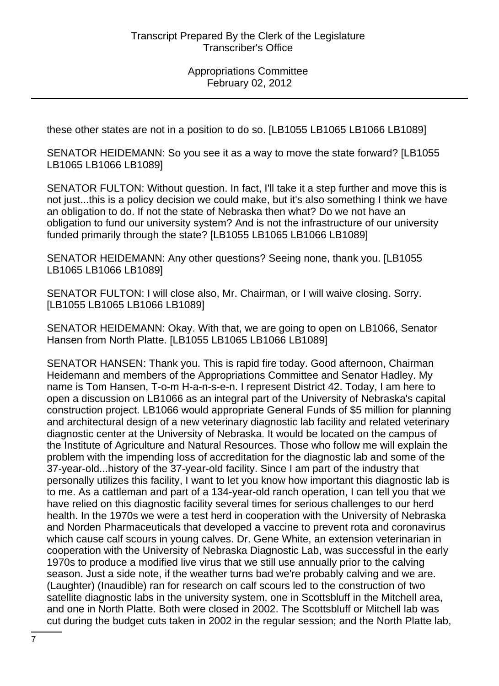these other states are not in a position to do so. [LB1055 LB1065 LB1066 LB1089]

SENATOR HEIDEMANN: So you see it as a way to move the state forward? [LB1055 LB1065 LB1066 LB1089]

SENATOR FULTON: Without question. In fact, I'll take it a step further and move this is not just...this is a policy decision we could make, but it's also something I think we have an obligation to do. If not the state of Nebraska then what? Do we not have an obligation to fund our university system? And is not the infrastructure of our university funded primarily through the state? [LB1055 LB1065 LB1066 LB1089]

SENATOR HEIDEMANN: Any other questions? Seeing none, thank you. [LB1055 LB1065 LB1066 LB1089]

SENATOR FULTON: I will close also, Mr. Chairman, or I will waive closing. Sorry. [LB1055 LB1065 LB1066 LB1089]

SENATOR HEIDEMANN: Okay. With that, we are going to open on LB1066, Senator Hansen from North Platte. [LB1055 LB1065 LB1066 LB1089]

SENATOR HANSEN: Thank you. This is rapid fire today. Good afternoon, Chairman Heidemann and members of the Appropriations Committee and Senator Hadley. My name is Tom Hansen, T-o-m H-a-n-s-e-n. I represent District 42. Today, I am here to open a discussion on LB1066 as an integral part of the University of Nebraska's capital construction project. LB1066 would appropriate General Funds of \$5 million for planning and architectural design of a new veterinary diagnostic lab facility and related veterinary diagnostic center at the University of Nebraska. It would be located on the campus of the Institute of Agriculture and Natural Resources. Those who follow me will explain the problem with the impending loss of accreditation for the diagnostic lab and some of the 37-year-old...history of the 37-year-old facility. Since I am part of the industry that personally utilizes this facility, I want to let you know how important this diagnostic lab is to me. As a cattleman and part of a 134-year-old ranch operation, I can tell you that we have relied on this diagnostic facility several times for serious challenges to our herd health. In the 1970s we were a test herd in cooperation with the University of Nebraska and Norden Pharmaceuticals that developed a vaccine to prevent rota and coronavirus which cause calf scours in young calves. Dr. Gene White, an extension veterinarian in cooperation with the University of Nebraska Diagnostic Lab, was successful in the early 1970s to produce a modified live virus that we still use annually prior to the calving season. Just a side note, if the weather turns bad we're probably calving and we are. (Laughter) (Inaudible) ran for research on calf scours led to the construction of two satellite diagnostic labs in the university system, one in Scottsbluff in the Mitchell area, and one in North Platte. Both were closed in 2002. The Scottsbluff or Mitchell lab was cut during the budget cuts taken in 2002 in the regular session; and the North Platte lab,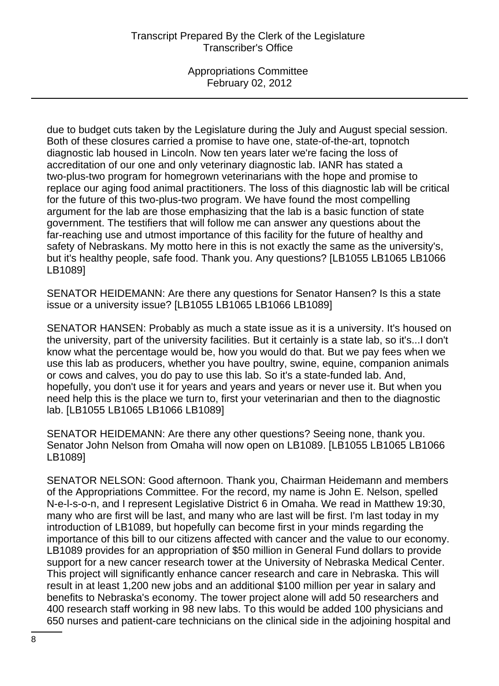due to budget cuts taken by the Legislature during the July and August special session. Both of these closures carried a promise to have one, state-of-the-art, topnotch diagnostic lab housed in Lincoln. Now ten years later we're facing the loss of accreditation of our one and only veterinary diagnostic lab. IANR has stated a two-plus-two program for homegrown veterinarians with the hope and promise to replace our aging food animal practitioners. The loss of this diagnostic lab will be critical for the future of this two-plus-two program. We have found the most compelling argument for the lab are those emphasizing that the lab is a basic function of state government. The testifiers that will follow me can answer any questions about the far-reaching use and utmost importance of this facility for the future of healthy and safety of Nebraskans. My motto here in this is not exactly the same as the university's, but it's healthy people, safe food. Thank you. Any questions? [LB1055 LB1065 LB1066 LB1089]

SENATOR HEIDEMANN: Are there any questions for Senator Hansen? Is this a state issue or a university issue? [LB1055 LB1065 LB1066 LB1089]

SENATOR HANSEN: Probably as much a state issue as it is a university. It's housed on the university, part of the university facilities. But it certainly is a state lab, so it's...I don't know what the percentage would be, how you would do that. But we pay fees when we use this lab as producers, whether you have poultry, swine, equine, companion animals or cows and calves, you do pay to use this lab. So it's a state-funded lab. And, hopefully, you don't use it for years and years and years or never use it. But when you need help this is the place we turn to, first your veterinarian and then to the diagnostic lab. [LB1055 LB1065 LB1066 LB1089]

SENATOR HEIDEMANN: Are there any other questions? Seeing none, thank you. Senator John Nelson from Omaha will now open on LB1089. [LB1055 LB1065 LB1066 LB1089]

SENATOR NELSON: Good afternoon. Thank you, Chairman Heidemann and members of the Appropriations Committee. For the record, my name is John E. Nelson, spelled N-e-l-s-o-n, and I represent Legislative District 6 in Omaha. We read in Matthew 19:30, many who are first will be last, and many who are last will be first. I'm last today in my introduction of LB1089, but hopefully can become first in your minds regarding the importance of this bill to our citizens affected with cancer and the value to our economy. LB1089 provides for an appropriation of \$50 million in General Fund dollars to provide support for a new cancer research tower at the University of Nebraska Medical Center. This project will significantly enhance cancer research and care in Nebraska. This will result in at least 1,200 new jobs and an additional \$100 million per year in salary and benefits to Nebraska's economy. The tower project alone will add 50 researchers and 400 research staff working in 98 new labs. To this would be added 100 physicians and 650 nurses and patient-care technicians on the clinical side in the adjoining hospital and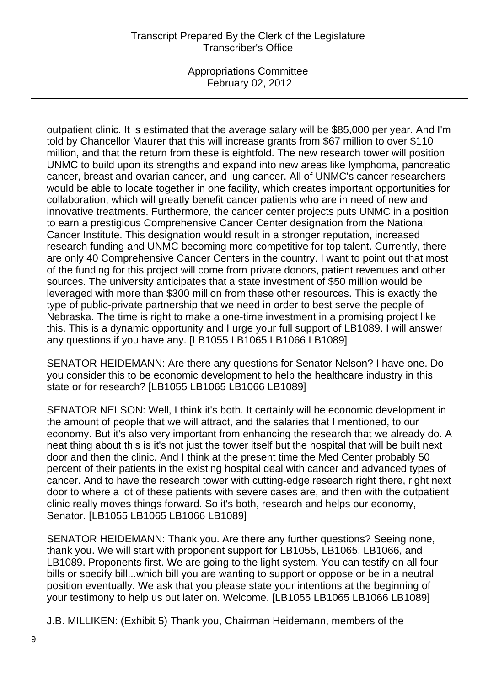Appropriations Committee February 02, 2012

outpatient clinic. It is estimated that the average salary will be \$85,000 per year. And I'm told by Chancellor Maurer that this will increase grants from \$67 million to over \$110 million, and that the return from these is eightfold. The new research tower will position UNMC to build upon its strengths and expand into new areas like lymphoma, pancreatic cancer, breast and ovarian cancer, and lung cancer. All of UNMC's cancer researchers would be able to locate together in one facility, which creates important opportunities for collaboration, which will greatly benefit cancer patients who are in need of new and innovative treatments. Furthermore, the cancer center projects puts UNMC in a position to earn a prestigious Comprehensive Cancer Center designation from the National Cancer Institute. This designation would result in a stronger reputation, increased research funding and UNMC becoming more competitive for top talent. Currently, there are only 40 Comprehensive Cancer Centers in the country. I want to point out that most of the funding for this project will come from private donors, patient revenues and other sources. The university anticipates that a state investment of \$50 million would be leveraged with more than \$300 million from these other resources. This is exactly the type of public-private partnership that we need in order to best serve the people of Nebraska. The time is right to make a one-time investment in a promising project like this. This is a dynamic opportunity and I urge your full support of LB1089. I will answer any questions if you have any. [LB1055 LB1065 LB1066 LB1089]

SENATOR HEIDEMANN: Are there any questions for Senator Nelson? I have one. Do you consider this to be economic development to help the healthcare industry in this state or for research? [LB1055 LB1065 LB1066 LB1089]

SENATOR NELSON: Well, I think it's both. It certainly will be economic development in the amount of people that we will attract, and the salaries that I mentioned, to our economy. But it's also very important from enhancing the research that we already do. A neat thing about this is it's not just the tower itself but the hospital that will be built next door and then the clinic. And I think at the present time the Med Center probably 50 percent of their patients in the existing hospital deal with cancer and advanced types of cancer. And to have the research tower with cutting-edge research right there, right next door to where a lot of these patients with severe cases are, and then with the outpatient clinic really moves things forward. So it's both, research and helps our economy, Senator. [LB1055 LB1065 LB1066 LB1089]

SENATOR HEIDEMANN: Thank you. Are there any further questions? Seeing none, thank you. We will start with proponent support for LB1055, LB1065, LB1066, and LB1089. Proponents first. We are going to the light system. You can testify on all four bills or specify bill...which bill you are wanting to support or oppose or be in a neutral position eventually. We ask that you please state your intentions at the beginning of your testimony to help us out later on. Welcome. [LB1055 LB1065 LB1066 LB1089]

J.B. MILLIKEN: (Exhibit 5) Thank you, Chairman Heidemann, members of the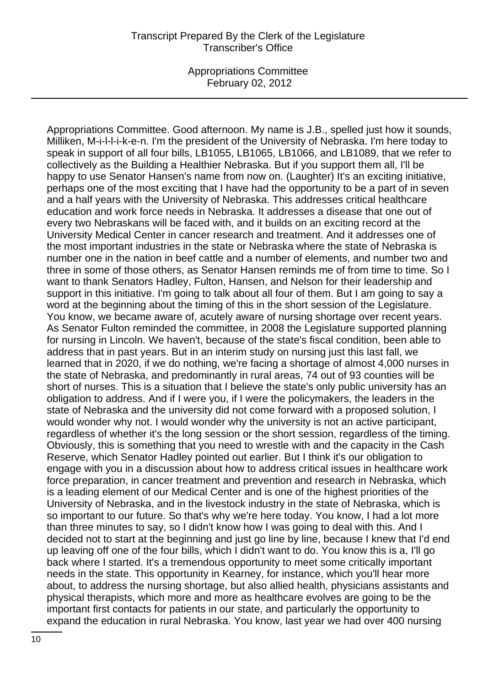Appropriations Committee February 02, 2012

Appropriations Committee. Good afternoon. My name is J.B., spelled just how it sounds, Milliken, M-i-l-l-i-k-e-n. I'm the president of the University of Nebraska. I'm here today to speak in support of all four bills, LB1055, LB1065, LB1066, and LB1089, that we refer to collectively as the Building a Healthier Nebraska. But if you support them all, I'll be happy to use Senator Hansen's name from now on. (Laughter) It's an exciting initiative, perhaps one of the most exciting that I have had the opportunity to be a part of in seven and a half years with the University of Nebraska. This addresses critical healthcare education and work force needs in Nebraska. It addresses a disease that one out of every two Nebraskans will be faced with, and it builds on an exciting record at the University Medical Center in cancer research and treatment. And it addresses one of the most important industries in the state or Nebraska where the state of Nebraska is number one in the nation in beef cattle and a number of elements, and number two and three in some of those others, as Senator Hansen reminds me of from time to time. So I want to thank Senators Hadley, Fulton, Hansen, and Nelson for their leadership and support in this initiative. I'm going to talk about all four of them. But I am going to say a word at the beginning about the timing of this in the short session of the Legislature. You know, we became aware of, acutely aware of nursing shortage over recent years. As Senator Fulton reminded the committee, in 2008 the Legislature supported planning for nursing in Lincoln. We haven't, because of the state's fiscal condition, been able to address that in past years. But in an interim study on nursing just this last fall, we learned that in 2020, if we do nothing, we're facing a shortage of almost 4,000 nurses in the state of Nebraska, and predominantly in rural areas, 74 out of 93 counties will be short of nurses. This is a situation that I believe the state's only public university has an obligation to address. And if I were you, if I were the policymakers, the leaders in the state of Nebraska and the university did not come forward with a proposed solution, I would wonder why not. I would wonder why the university is not an active participant, regardless of whether it's the long session or the short session, regardless of the timing. Obviously, this is something that you need to wrestle with and the capacity in the Cash Reserve, which Senator Hadley pointed out earlier. But I think it's our obligation to engage with you in a discussion about how to address critical issues in healthcare work force preparation, in cancer treatment and prevention and research in Nebraska, which is a leading element of our Medical Center and is one of the highest priorities of the University of Nebraska, and in the livestock industry in the state of Nebraska, which is so important to our future. So that's why we're here today. You know, I had a lot more than three minutes to say, so I didn't know how I was going to deal with this. And I decided not to start at the beginning and just go line by line, because I knew that I'd end up leaving off one of the four bills, which I didn't want to do. You know this is a, I'll go back where I started. It's a tremendous opportunity to meet some critically important needs in the state. This opportunity in Kearney, for instance, which you'll hear more about, to address the nursing shortage, but also allied health, physicians assistants and physical therapists, which more and more as healthcare evolves are going to be the important first contacts for patients in our state, and particularly the opportunity to expand the education in rural Nebraska. You know, last year we had over 400 nursing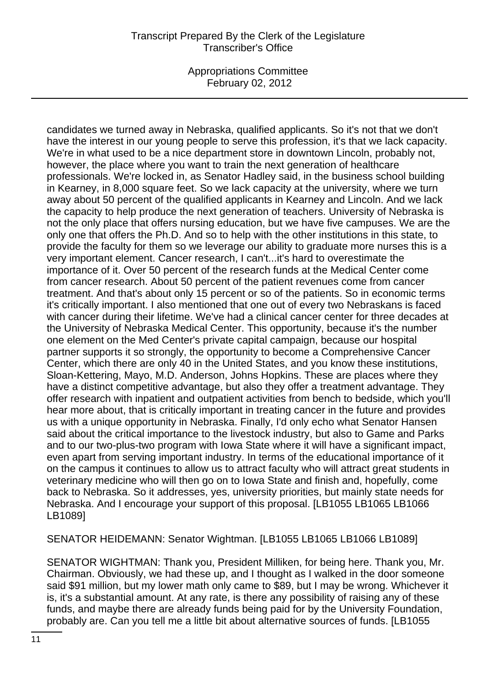Appropriations Committee February 02, 2012

candidates we turned away in Nebraska, qualified applicants. So it's not that we don't have the interest in our young people to serve this profession, it's that we lack capacity. We're in what used to be a nice department store in downtown Lincoln, probably not, however, the place where you want to train the next generation of healthcare professionals. We're locked in, as Senator Hadley said, in the business school building in Kearney, in 8,000 square feet. So we lack capacity at the university, where we turn away about 50 percent of the qualified applicants in Kearney and Lincoln. And we lack the capacity to help produce the next generation of teachers. University of Nebraska is not the only place that offers nursing education, but we have five campuses. We are the only one that offers the Ph.D. And so to help with the other institutions in this state, to provide the faculty for them so we leverage our ability to graduate more nurses this is a very important element. Cancer research, I can't...it's hard to overestimate the importance of it. Over 50 percent of the research funds at the Medical Center come from cancer research. About 50 percent of the patient revenues come from cancer treatment. And that's about only 15 percent or so of the patients. So in economic terms it's critically important. I also mentioned that one out of every two Nebraskans is faced with cancer during their lifetime. We've had a clinical cancer center for three decades at the University of Nebraska Medical Center. This opportunity, because it's the number one element on the Med Center's private capital campaign, because our hospital partner supports it so strongly, the opportunity to become a Comprehensive Cancer Center, which there are only 40 in the United States, and you know these institutions, Sloan-Kettering, Mayo, M.D. Anderson, Johns Hopkins. These are places where they have a distinct competitive advantage, but also they offer a treatment advantage. They offer research with inpatient and outpatient activities from bench to bedside, which you'll hear more about, that is critically important in treating cancer in the future and provides us with a unique opportunity in Nebraska. Finally, I'd only echo what Senator Hansen said about the critical importance to the livestock industry, but also to Game and Parks and to our two-plus-two program with Iowa State where it will have a significant impact, even apart from serving important industry. In terms of the educational importance of it on the campus it continues to allow us to attract faculty who will attract great students in veterinary medicine who will then go on to Iowa State and finish and, hopefully, come back to Nebraska. So it addresses, yes, university priorities, but mainly state needs for Nebraska. And I encourage your support of this proposal. [LB1055 LB1065 LB1066 LB1089]

SENATOR HEIDEMANN: Senator Wightman. [LB1055 LB1065 LB1066 LB1089]

SENATOR WIGHTMAN: Thank you, President Milliken, for being here. Thank you, Mr. Chairman. Obviously, we had these up, and I thought as I walked in the door someone said \$91 million, but my lower math only came to \$89, but I may be wrong. Whichever it is, it's a substantial amount. At any rate, is there any possibility of raising any of these funds, and maybe there are already funds being paid for by the University Foundation, probably are. Can you tell me a little bit about alternative sources of funds. [LB1055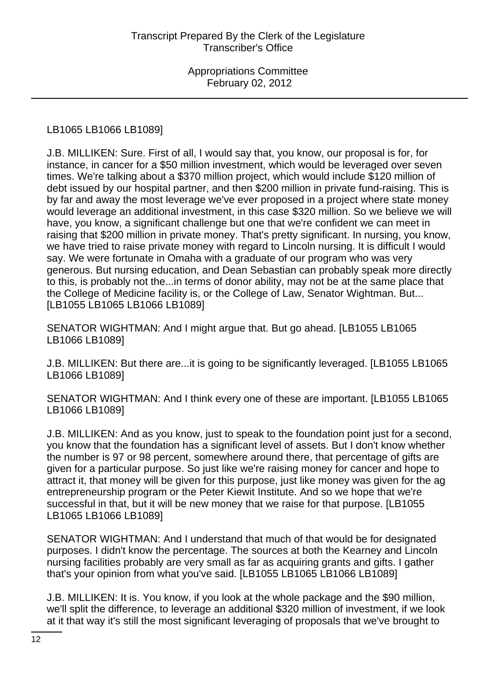## LB1065 LB1066 LB1089]

J.B. MILLIKEN: Sure. First of all, I would say that, you know, our proposal is for, for instance, in cancer for a \$50 million investment, which would be leveraged over seven times. We're talking about a \$370 million project, which would include \$120 million of debt issued by our hospital partner, and then \$200 million in private fund-raising. This is by far and away the most leverage we've ever proposed in a project where state money would leverage an additional investment, in this case \$320 million. So we believe we will have, you know, a significant challenge but one that we're confident we can meet in raising that \$200 million in private money. That's pretty significant. In nursing, you know, we have tried to raise private money with regard to Lincoln nursing. It is difficult I would say. We were fortunate in Omaha with a graduate of our program who was very generous. But nursing education, and Dean Sebastian can probably speak more directly to this, is probably not the...in terms of donor ability, may not be at the same place that the College of Medicine facility is, or the College of Law, Senator Wightman. But... [LB1055 LB1065 LB1066 LB1089]

SENATOR WIGHTMAN: And I might argue that. But go ahead. [LB1055 LB1065 LB1066 LB1089]

J.B. MILLIKEN: But there are...it is going to be significantly leveraged. [LB1055 LB1065 LB1066 LB1089]

SENATOR WIGHTMAN: And I think every one of these are important. [LB1055 LB1065 LB1066 LB1089]

J.B. MILLIKEN: And as you know, just to speak to the foundation point just for a second, you know that the foundation has a significant level of assets. But I don't know whether the number is 97 or 98 percent, somewhere around there, that percentage of gifts are given for a particular purpose. So just like we're raising money for cancer and hope to attract it, that money will be given for this purpose, just like money was given for the ag entrepreneurship program or the Peter Kiewit Institute. And so we hope that we're successful in that, but it will be new money that we raise for that purpose. [LB1055 LB1065 LB1066 LB1089]

SENATOR WIGHTMAN: And I understand that much of that would be for designated purposes. I didn't know the percentage. The sources at both the Kearney and Lincoln nursing facilities probably are very small as far as acquiring grants and gifts. I gather that's your opinion from what you've said. [LB1055 LB1065 LB1066 LB1089]

J.B. MILLIKEN: It is. You know, if you look at the whole package and the \$90 million, we'll split the difference, to leverage an additional \$320 million of investment, if we look at it that way it's still the most significant leveraging of proposals that we've brought to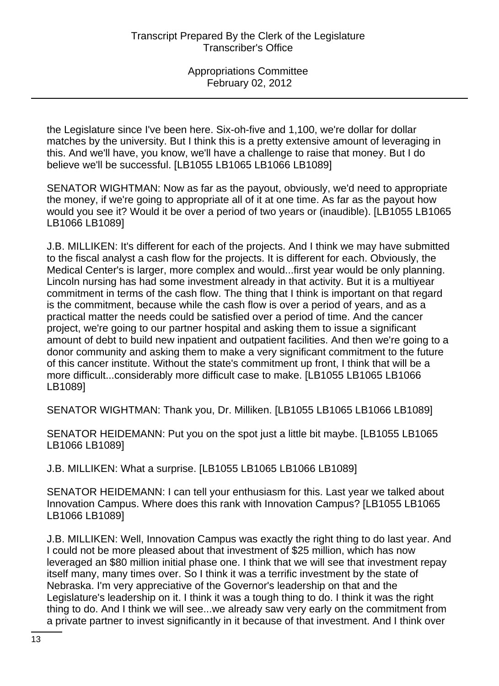the Legislature since I've been here. Six-oh-five and 1,100, we're dollar for dollar matches by the university. But I think this is a pretty extensive amount of leveraging in this. And we'll have, you know, we'll have a challenge to raise that money. But I do believe we'll be successful. [LB1055 LB1065 LB1066 LB1089]

SENATOR WIGHTMAN: Now as far as the payout, obviously, we'd need to appropriate the money, if we're going to appropriate all of it at one time. As far as the payout how would you see it? Would it be over a period of two years or (inaudible). [LB1055 LB1065 LB1066 LB1089]

J.B. MILLIKEN: It's different for each of the projects. And I think we may have submitted to the fiscal analyst a cash flow for the projects. It is different for each. Obviously, the Medical Center's is larger, more complex and would...first year would be only planning. Lincoln nursing has had some investment already in that activity. But it is a multiyear commitment in terms of the cash flow. The thing that I think is important on that regard is the commitment, because while the cash flow is over a period of years, and as a practical matter the needs could be satisfied over a period of time. And the cancer project, we're going to our partner hospital and asking them to issue a significant amount of debt to build new inpatient and outpatient facilities. And then we're going to a donor community and asking them to make a very significant commitment to the future of this cancer institute. Without the state's commitment up front, I think that will be a more difficult...considerably more difficult case to make. [LB1055 LB1065 LB1066 LB1089]

SENATOR WIGHTMAN: Thank you, Dr. Milliken. [LB1055 LB1065 LB1066 LB1089]

SENATOR HEIDEMANN: Put you on the spot just a little bit maybe. [LB1055 LB1065 LB1066 LB1089]

J.B. MILLIKEN: What a surprise. [LB1055 LB1065 LB1066 LB1089]

SENATOR HEIDEMANN: I can tell your enthusiasm for this. Last year we talked about Innovation Campus. Where does this rank with Innovation Campus? [LB1055 LB1065 LB1066 LB1089]

J.B. MILLIKEN: Well, Innovation Campus was exactly the right thing to do last year. And I could not be more pleased about that investment of \$25 million, which has now leveraged an \$80 million initial phase one. I think that we will see that investment repay itself many, many times over. So I think it was a terrific investment by the state of Nebraska. I'm very appreciative of the Governor's leadership on that and the Legislature's leadership on it. I think it was a tough thing to do. I think it was the right thing to do. And I think we will see...we already saw very early on the commitment from a private partner to invest significantly in it because of that investment. And I think over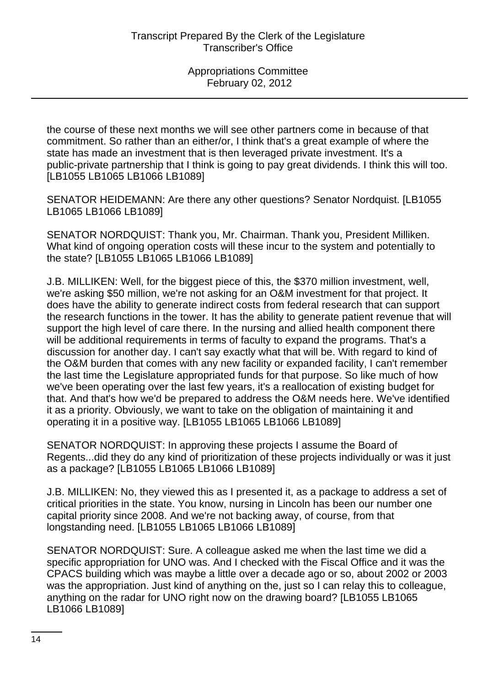the course of these next months we will see other partners come in because of that commitment. So rather than an either/or, I think that's a great example of where the state has made an investment that is then leveraged private investment. It's a public-private partnership that I think is going to pay great dividends. I think this will too. [LB1055 LB1065 LB1066 LB1089]

SENATOR HEIDEMANN: Are there any other questions? Senator Nordquist. [LB1055 LB1065 LB1066 LB1089]

SENATOR NORDQUIST: Thank you, Mr. Chairman. Thank you, President Milliken. What kind of ongoing operation costs will these incur to the system and potentially to the state? [LB1055 LB1065 LB1066 LB1089]

J.B. MILLIKEN: Well, for the biggest piece of this, the \$370 million investment, well, we're asking \$50 million, we're not asking for an O&M investment for that project. It does have the ability to generate indirect costs from federal research that can support the research functions in the tower. It has the ability to generate patient revenue that will support the high level of care there. In the nursing and allied health component there will be additional requirements in terms of faculty to expand the programs. That's a discussion for another day. I can't say exactly what that will be. With regard to kind of the O&M burden that comes with any new facility or expanded facility, I can't remember the last time the Legislature appropriated funds for that purpose. So like much of how we've been operating over the last few years, it's a reallocation of existing budget for that. And that's how we'd be prepared to address the O&M needs here. We've identified it as a priority. Obviously, we want to take on the obligation of maintaining it and operating it in a positive way. [LB1055 LB1065 LB1066 LB1089]

SENATOR NORDQUIST: In approving these projects I assume the Board of Regents...did they do any kind of prioritization of these projects individually or was it just as a package? [LB1055 LB1065 LB1066 LB1089]

J.B. MILLIKEN: No, they viewed this as I presented it, as a package to address a set of critical priorities in the state. You know, nursing in Lincoln has been our number one capital priority since 2008. And we're not backing away, of course, from that longstanding need. [LB1055 LB1065 LB1066 LB1089]

SENATOR NORDQUIST: Sure. A colleague asked me when the last time we did a specific appropriation for UNO was. And I checked with the Fiscal Office and it was the CPACS building which was maybe a little over a decade ago or so, about 2002 or 2003 was the appropriation. Just kind of anything on the, just so I can relay this to colleague, anything on the radar for UNO right now on the drawing board? [LB1055 LB1065 LB1066 LB1089]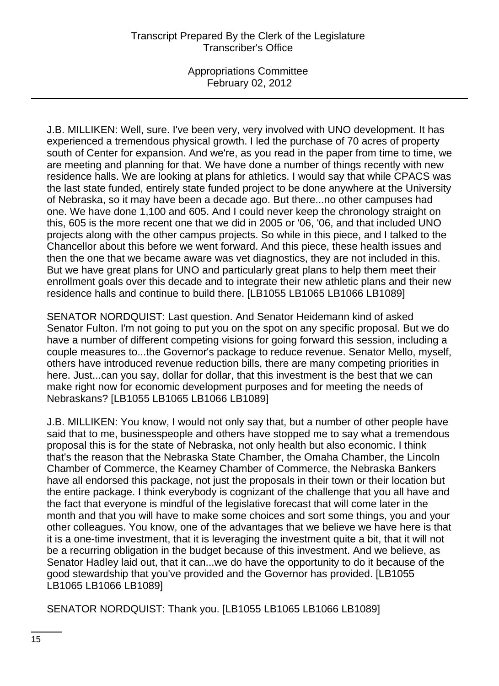J.B. MILLIKEN: Well, sure. I've been very, very involved with UNO development. It has experienced a tremendous physical growth. I led the purchase of 70 acres of property south of Center for expansion. And we're, as you read in the paper from time to time, we are meeting and planning for that. We have done a number of things recently with new residence halls. We are looking at plans for athletics. I would say that while CPACS was the last state funded, entirely state funded project to be done anywhere at the University of Nebraska, so it may have been a decade ago. But there...no other campuses had one. We have done 1,100 and 605. And I could never keep the chronology straight on this, 605 is the more recent one that we did in 2005 or '06, '06, and that included UNO projects along with the other campus projects. So while in this piece, and I talked to the Chancellor about this before we went forward. And this piece, these health issues and then the one that we became aware was vet diagnostics, they are not included in this. But we have great plans for UNO and particularly great plans to help them meet their enrollment goals over this decade and to integrate their new athletic plans and their new residence halls and continue to build there. [LB1055 LB1065 LB1066 LB1089]

SENATOR NORDQUIST: Last question. And Senator Heidemann kind of asked Senator Fulton. I'm not going to put you on the spot on any specific proposal. But we do have a number of different competing visions for going forward this session, including a couple measures to...the Governor's package to reduce revenue. Senator Mello, myself, others have introduced revenue reduction bills, there are many competing priorities in here. Just...can you say, dollar for dollar, that this investment is the best that we can make right now for economic development purposes and for meeting the needs of Nebraskans? [LB1055 LB1065 LB1066 LB1089]

J.B. MILLIKEN: You know, I would not only say that, but a number of other people have said that to me, businesspeople and others have stopped me to say what a tremendous proposal this is for the state of Nebraska, not only health but also economic. I think that's the reason that the Nebraska State Chamber, the Omaha Chamber, the Lincoln Chamber of Commerce, the Kearney Chamber of Commerce, the Nebraska Bankers have all endorsed this package, not just the proposals in their town or their location but the entire package. I think everybody is cognizant of the challenge that you all have and the fact that everyone is mindful of the legislative forecast that will come later in the month and that you will have to make some choices and sort some things, you and your other colleagues. You know, one of the advantages that we believe we have here is that it is a one-time investment, that it is leveraging the investment quite a bit, that it will not be a recurring obligation in the budget because of this investment. And we believe, as Senator Hadley laid out, that it can...we do have the opportunity to do it because of the good stewardship that you've provided and the Governor has provided. [LB1055 LB1065 LB1066 LB1089]

SENATOR NORDQUIST: Thank you. [LB1055 LB1065 LB1066 LB1089]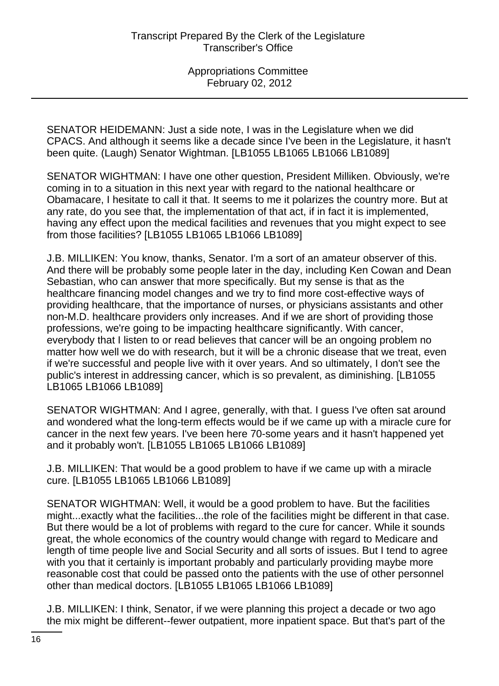SENATOR HEIDEMANN: Just a side note, I was in the Legislature when we did CPACS. And although it seems like a decade since I've been in the Legislature, it hasn't been quite. (Laugh) Senator Wightman. [LB1055 LB1065 LB1066 LB1089]

SENATOR WIGHTMAN: I have one other question, President Milliken. Obviously, we're coming in to a situation in this next year with regard to the national healthcare or Obamacare, I hesitate to call it that. It seems to me it polarizes the country more. But at any rate, do you see that, the implementation of that act, if in fact it is implemented, having any effect upon the medical facilities and revenues that you might expect to see from those facilities? [LB1055 LB1065 LB1066 LB1089]

J.B. MILLIKEN: You know, thanks, Senator. I'm a sort of an amateur observer of this. And there will be probably some people later in the day, including Ken Cowan and Dean Sebastian, who can answer that more specifically. But my sense is that as the healthcare financing model changes and we try to find more cost-effective ways of providing healthcare, that the importance of nurses, or physicians assistants and other non-M.D. healthcare providers only increases. And if we are short of providing those professions, we're going to be impacting healthcare significantly. With cancer, everybody that I listen to or read believes that cancer will be an ongoing problem no matter how well we do with research, but it will be a chronic disease that we treat, even if we're successful and people live with it over years. And so ultimately, I don't see the public's interest in addressing cancer, which is so prevalent, as diminishing. [LB1055 LB1065 LB1066 LB1089]

SENATOR WIGHTMAN: And I agree, generally, with that. I guess I've often sat around and wondered what the long-term effects would be if we came up with a miracle cure for cancer in the next few years. I've been here 70-some years and it hasn't happened yet and it probably won't. [LB1055 LB1065 LB1066 LB1089]

J.B. MILLIKEN: That would be a good problem to have if we came up with a miracle cure. [LB1055 LB1065 LB1066 LB1089]

SENATOR WIGHTMAN: Well, it would be a good problem to have. But the facilities might...exactly what the facilities...the role of the facilities might be different in that case. But there would be a lot of problems with regard to the cure for cancer. While it sounds great, the whole economics of the country would change with regard to Medicare and length of time people live and Social Security and all sorts of issues. But I tend to agree with you that it certainly is important probably and particularly providing maybe more reasonable cost that could be passed onto the patients with the use of other personnel other than medical doctors. [LB1055 LB1065 LB1066 LB1089]

J.B. MILLIKEN: I think, Senator, if we were planning this project a decade or two ago the mix might be different--fewer outpatient, more inpatient space. But that's part of the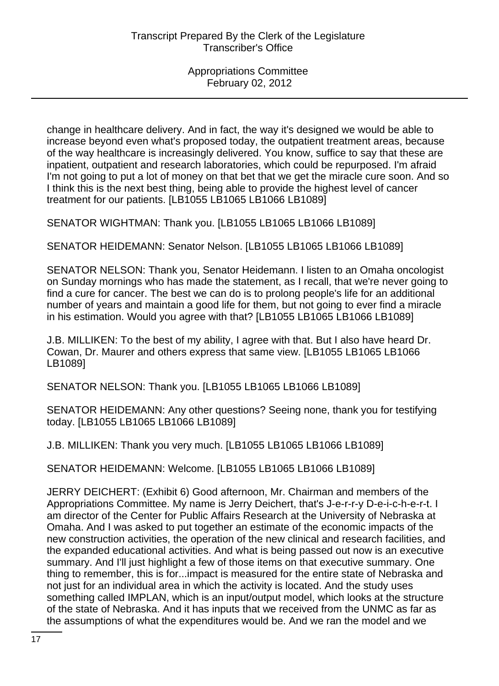change in healthcare delivery. And in fact, the way it's designed we would be able to increase beyond even what's proposed today, the outpatient treatment areas, because of the way healthcare is increasingly delivered. You know, suffice to say that these are inpatient, outpatient and research laboratories, which could be repurposed. I'm afraid I'm not going to put a lot of money on that bet that we get the miracle cure soon. And so I think this is the next best thing, being able to provide the highest level of cancer treatment for our patients. [LB1055 LB1065 LB1066 LB1089]

SENATOR WIGHTMAN: Thank you. [LB1055 LB1065 LB1066 LB1089]

SENATOR HEIDEMANN: Senator Nelson. [LB1055 LB1065 LB1066 LB1089]

SENATOR NELSON: Thank you, Senator Heidemann. I listen to an Omaha oncologist on Sunday mornings who has made the statement, as I recall, that we're never going to find a cure for cancer. The best we can do is to prolong people's life for an additional number of years and maintain a good life for them, but not going to ever find a miracle in his estimation. Would you agree with that? [LB1055 LB1065 LB1066 LB1089]

J.B. MILLIKEN: To the best of my ability, I agree with that. But I also have heard Dr. Cowan, Dr. Maurer and others express that same view. [LB1055 LB1065 LB1066 LB1089]

SENATOR NELSON: Thank you. [LB1055 LB1065 LB1066 LB1089]

SENATOR HEIDEMANN: Any other questions? Seeing none, thank you for testifying today. [LB1055 LB1065 LB1066 LB1089]

J.B. MILLIKEN: Thank you very much. [LB1055 LB1065 LB1066 LB1089]

SENATOR HEIDEMANN: Welcome. [LB1055 LB1065 LB1066 LB1089]

JERRY DEICHERT: (Exhibit 6) Good afternoon, Mr. Chairman and members of the Appropriations Committee. My name is Jerry Deichert, that's J-e-r-r-y D-e-i-c-h-e-r-t. I am director of the Center for Public Affairs Research at the University of Nebraska at Omaha. And I was asked to put together an estimate of the economic impacts of the new construction activities, the operation of the new clinical and research facilities, and the expanded educational activities. And what is being passed out now is an executive summary. And I'll just highlight a few of those items on that executive summary. One thing to remember, this is for...impact is measured for the entire state of Nebraska and not just for an individual area in which the activity is located. And the study uses something called IMPLAN, which is an input/output model, which looks at the structure of the state of Nebraska. And it has inputs that we received from the UNMC as far as the assumptions of what the expenditures would be. And we ran the model and we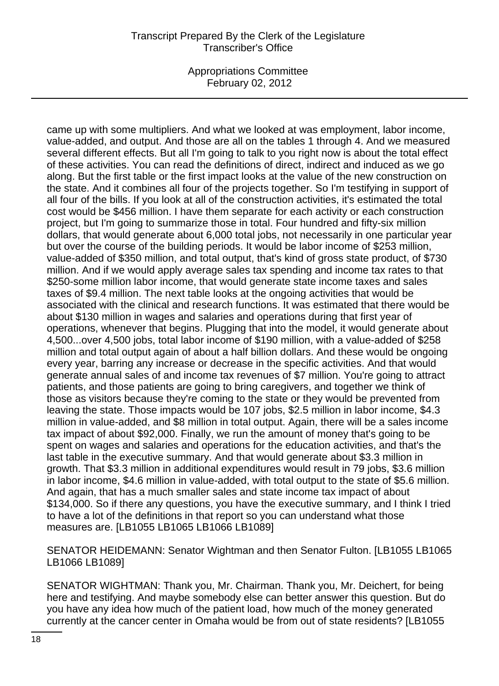Appropriations Committee February 02, 2012

came up with some multipliers. And what we looked at was employment, labor income, value-added, and output. And those are all on the tables 1 through 4. And we measured several different effects. But all I'm going to talk to you right now is about the total effect of these activities. You can read the definitions of direct, indirect and induced as we go along. But the first table or the first impact looks at the value of the new construction on the state. And it combines all four of the projects together. So I'm testifying in support of all four of the bills. If you look at all of the construction activities, it's estimated the total cost would be \$456 million. I have them separate for each activity or each construction project, but I'm going to summarize those in total. Four hundred and fifty-six million dollars, that would generate about 6,000 total jobs, not necessarily in one particular year but over the course of the building periods. It would be labor income of \$253 million, value-added of \$350 million, and total output, that's kind of gross state product, of \$730 million. And if we would apply average sales tax spending and income tax rates to that \$250-some million labor income, that would generate state income taxes and sales taxes of \$9.4 million. The next table looks at the ongoing activities that would be associated with the clinical and research functions. It was estimated that there would be about \$130 million in wages and salaries and operations during that first year of operations, whenever that begins. Plugging that into the model, it would generate about 4,500...over 4,500 jobs, total labor income of \$190 million, with a value-added of \$258 million and total output again of about a half billion dollars. And these would be ongoing every year, barring any increase or decrease in the specific activities. And that would generate annual sales of and income tax revenues of \$7 million. You're going to attract patients, and those patients are going to bring caregivers, and together we think of those as visitors because they're coming to the state or they would be prevented from leaving the state. Those impacts would be 107 jobs, \$2.5 million in labor income, \$4.3 million in value-added, and \$8 million in total output. Again, there will be a sales income tax impact of about \$92,000. Finally, we run the amount of money that's going to be spent on wages and salaries and operations for the education activities, and that's the last table in the executive summary. And that would generate about \$3.3 million in growth. That \$3.3 million in additional expenditures would result in 79 jobs, \$3.6 million in labor income, \$4.6 million in value-added, with total output to the state of \$5.6 million. And again, that has a much smaller sales and state income tax impact of about \$134,000. So if there any questions, you have the executive summary, and I think I tried to have a lot of the definitions in that report so you can understand what those measures are. [LB1055 LB1065 LB1066 LB1089]

SENATOR HEIDEMANN: Senator Wightman and then Senator Fulton. [LB1055 LB1065 LB1066 LB1089]

SENATOR WIGHTMAN: Thank you, Mr. Chairman. Thank you, Mr. Deichert, for being here and testifying. And maybe somebody else can better answer this question. But do you have any idea how much of the patient load, how much of the money generated currently at the cancer center in Omaha would be from out of state residents? [LB1055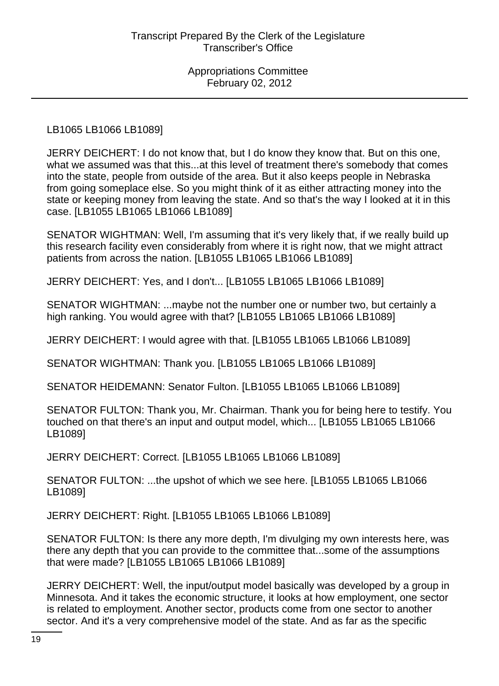### LB1065 LB1066 LB1089]

JERRY DEICHERT: I do not know that, but I do know they know that. But on this one, what we assumed was that this...at this level of treatment there's somebody that comes into the state, people from outside of the area. But it also keeps people in Nebraska from going someplace else. So you might think of it as either attracting money into the state or keeping money from leaving the state. And so that's the way I looked at it in this case. [LB1055 LB1065 LB1066 LB1089]

SENATOR WIGHTMAN: Well, I'm assuming that it's very likely that, if we really build up this research facility even considerably from where it is right now, that we might attract patients from across the nation. [LB1055 LB1065 LB1066 LB1089]

JERRY DEICHERT: Yes, and I don't... [LB1055 LB1065 LB1066 LB1089]

SENATOR WIGHTMAN: ...maybe not the number one or number two, but certainly a high ranking. You would agree with that? [LB1055 LB1065 LB1066 LB1089]

JERRY DEICHERT: I would agree with that. [LB1055 LB1065 LB1066 LB1089]

SENATOR WIGHTMAN: Thank you. [LB1055 LB1065 LB1066 LB1089]

SENATOR HEIDEMANN: Senator Fulton. [LB1055 LB1065 LB1066 LB1089]

SENATOR FULTON: Thank you, Mr. Chairman. Thank you for being here to testify. You touched on that there's an input and output model, which... [LB1055 LB1065 LB1066 LB1089]

JERRY DEICHERT: Correct. [LB1055 LB1065 LB1066 LB1089]

SENATOR FULTON: ...the upshot of which we see here. [LB1055 LB1065 LB1066 LB1089]

JERRY DEICHERT: Right. [LB1055 LB1065 LB1066 LB1089]

SENATOR FULTON: Is there any more depth, I'm divulging my own interests here, was there any depth that you can provide to the committee that...some of the assumptions that were made? [LB1055 LB1065 LB1066 LB1089]

JERRY DEICHERT: Well, the input/output model basically was developed by a group in Minnesota. And it takes the economic structure, it looks at how employment, one sector is related to employment. Another sector, products come from one sector to another sector. And it's a very comprehensive model of the state. And as far as the specific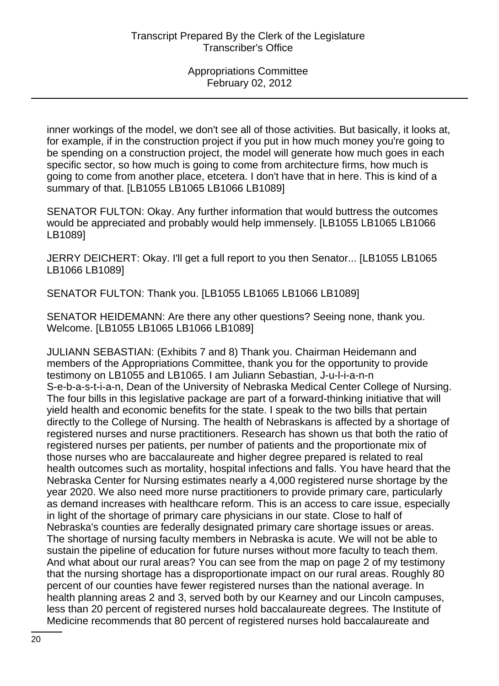inner workings of the model, we don't see all of those activities. But basically, it looks at, for example, if in the construction project if you put in how much money you're going to be spending on a construction project, the model will generate how much goes in each specific sector, so how much is going to come from architecture firms, how much is going to come from another place, etcetera. I don't have that in here. This is kind of a summary of that. [LB1055 LB1065 LB1066 LB1089]

SENATOR FULTON: Okay. Any further information that would buttress the outcomes would be appreciated and probably would help immensely. [LB1055 LB1065 LB1066 LB1089]

JERRY DEICHERT: Okay. I'll get a full report to you then Senator... [LB1055 LB1065 LB1066 LB1089]

SENATOR FULTON: Thank you. [LB1055 LB1065 LB1066 LB1089]

SENATOR HEIDEMANN: Are there any other questions? Seeing none, thank you. Welcome. [LB1055 LB1065 LB1066 LB1089]

JULIANN SEBASTIAN: (Exhibits 7 and 8) Thank you. Chairman Heidemann and members of the Appropriations Committee, thank you for the opportunity to provide testimony on LB1055 and LB1065. I am Juliann Sebastian, J-u-l-i-a-n-n S-e-b-a-s-t-i-a-n, Dean of the University of Nebraska Medical Center College of Nursing. The four bills in this legislative package are part of a forward-thinking initiative that will yield health and economic benefits for the state. I speak to the two bills that pertain directly to the College of Nursing. The health of Nebraskans is affected by a shortage of registered nurses and nurse practitioners. Research has shown us that both the ratio of registered nurses per patients, per number of patients and the proportionate mix of those nurses who are baccalaureate and higher degree prepared is related to real health outcomes such as mortality, hospital infections and falls. You have heard that the Nebraska Center for Nursing estimates nearly a 4,000 registered nurse shortage by the year 2020. We also need more nurse practitioners to provide primary care, particularly as demand increases with healthcare reform. This is an access to care issue, especially in light of the shortage of primary care physicians in our state. Close to half of Nebraska's counties are federally designated primary care shortage issues or areas. The shortage of nursing faculty members in Nebraska is acute. We will not be able to sustain the pipeline of education for future nurses without more faculty to teach them. And what about our rural areas? You can see from the map on page 2 of my testimony that the nursing shortage has a disproportionate impact on our rural areas. Roughly 80 percent of our counties have fewer registered nurses than the national average. In health planning areas 2 and 3, served both by our Kearney and our Lincoln campuses, less than 20 percent of registered nurses hold baccalaureate degrees. The Institute of Medicine recommends that 80 percent of registered nurses hold baccalaureate and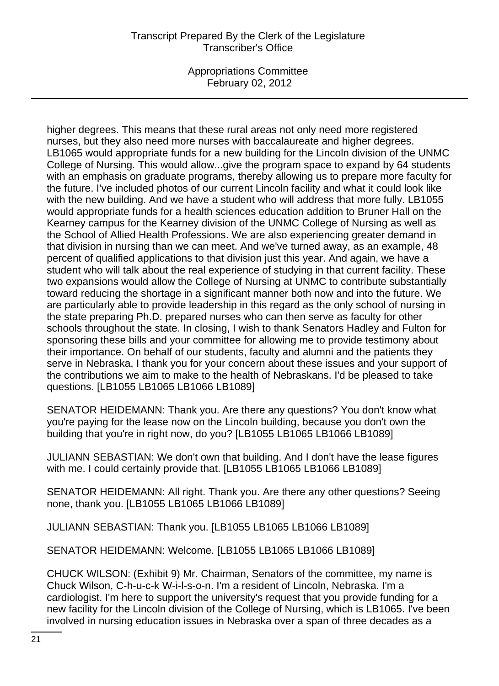Appropriations Committee February 02, 2012

higher degrees. This means that these rural areas not only need more registered nurses, but they also need more nurses with baccalaureate and higher degrees. LB1065 would appropriate funds for a new building for the Lincoln division of the UNMC College of Nursing. This would allow...give the program space to expand by 64 students with an emphasis on graduate programs, thereby allowing us to prepare more faculty for the future. I've included photos of our current Lincoln facility and what it could look like with the new building. And we have a student who will address that more fully. LB1055 would appropriate funds for a health sciences education addition to Bruner Hall on the Kearney campus for the Kearney division of the UNMC College of Nursing as well as the School of Allied Health Professions. We are also experiencing greater demand in that division in nursing than we can meet. And we've turned away, as an example, 48 percent of qualified applications to that division just this year. And again, we have a student who will talk about the real experience of studying in that current facility. These two expansions would allow the College of Nursing at UNMC to contribute substantially toward reducing the shortage in a significant manner both now and into the future. We are particularly able to provide leadership in this regard as the only school of nursing in the state preparing Ph.D. prepared nurses who can then serve as faculty for other schools throughout the state. In closing, I wish to thank Senators Hadley and Fulton for sponsoring these bills and your committee for allowing me to provide testimony about their importance. On behalf of our students, faculty and alumni and the patients they serve in Nebraska, I thank you for your concern about these issues and your support of the contributions we aim to make to the health of Nebraskans. I'd be pleased to take questions. [LB1055 LB1065 LB1066 LB1089]

SENATOR HEIDEMANN: Thank you. Are there any questions? You don't know what you're paying for the lease now on the Lincoln building, because you don't own the building that you're in right now, do you? [LB1055 LB1065 LB1066 LB1089]

JULIANN SEBASTIAN: We don't own that building. And I don't have the lease figures with me. I could certainly provide that. [LB1055 LB1065 LB1066 LB1089]

SENATOR HEIDEMANN: All right. Thank you. Are there any other questions? Seeing none, thank you. [LB1055 LB1065 LB1066 LB1089]

JULIANN SEBASTIAN: Thank you. [LB1055 LB1065 LB1066 LB1089]

SENATOR HEIDEMANN: Welcome. [LB1055 LB1065 LB1066 LB1089]

CHUCK WILSON: (Exhibit 9) Mr. Chairman, Senators of the committee, my name is Chuck Wilson, C-h-u-c-k W-i-l-s-o-n. I'm a resident of Lincoln, Nebraska. I'm a cardiologist. I'm here to support the university's request that you provide funding for a new facility for the Lincoln division of the College of Nursing, which is LB1065. I've been involved in nursing education issues in Nebraska over a span of three decades as a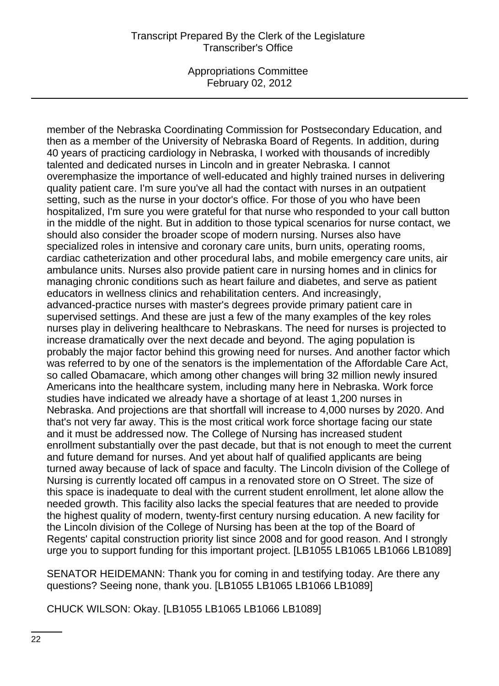Appropriations Committee February 02, 2012

member of the Nebraska Coordinating Commission for Postsecondary Education, and then as a member of the University of Nebraska Board of Regents. In addition, during 40 years of practicing cardiology in Nebraska, I worked with thousands of incredibly talented and dedicated nurses in Lincoln and in greater Nebraska. I cannot overemphasize the importance of well-educated and highly trained nurses in delivering quality patient care. I'm sure you've all had the contact with nurses in an outpatient setting, such as the nurse in your doctor's office. For those of you who have been hospitalized, I'm sure you were grateful for that nurse who responded to your call button in the middle of the night. But in addition to those typical scenarios for nurse contact, we should also consider the broader scope of modern nursing. Nurses also have specialized roles in intensive and coronary care units, burn units, operating rooms, cardiac catheterization and other procedural labs, and mobile emergency care units, air ambulance units. Nurses also provide patient care in nursing homes and in clinics for managing chronic conditions such as heart failure and diabetes, and serve as patient educators in wellness clinics and rehabilitation centers. And increasingly, advanced-practice nurses with master's degrees provide primary patient care in supervised settings. And these are just a few of the many examples of the key roles nurses play in delivering healthcare to Nebraskans. The need for nurses is projected to increase dramatically over the next decade and beyond. The aging population is probably the major factor behind this growing need for nurses. And another factor which was referred to by one of the senators is the implementation of the Affordable Care Act, so called Obamacare, which among other changes will bring 32 million newly insured Americans into the healthcare system, including many here in Nebraska. Work force studies have indicated we already have a shortage of at least 1,200 nurses in Nebraska. And projections are that shortfall will increase to 4,000 nurses by 2020. And that's not very far away. This is the most critical work force shortage facing our state and it must be addressed now. The College of Nursing has increased student enrollment substantially over the past decade, but that is not enough to meet the current and future demand for nurses. And yet about half of qualified applicants are being turned away because of lack of space and faculty. The Lincoln division of the College of Nursing is currently located off campus in a renovated store on O Street. The size of this space is inadequate to deal with the current student enrollment, let alone allow the needed growth. This facility also lacks the special features that are needed to provide the highest quality of modern, twenty-first century nursing education. A new facility for the Lincoln division of the College of Nursing has been at the top of the Board of Regents' capital construction priority list since 2008 and for good reason. And I strongly urge you to support funding for this important project. [LB1055 LB1065 LB1066 LB1089]

SENATOR HEIDEMANN: Thank you for coming in and testifying today. Are there any questions? Seeing none, thank you. [LB1055 LB1065 LB1066 LB1089]

CHUCK WILSON: Okay. [LB1055 LB1065 LB1066 LB1089]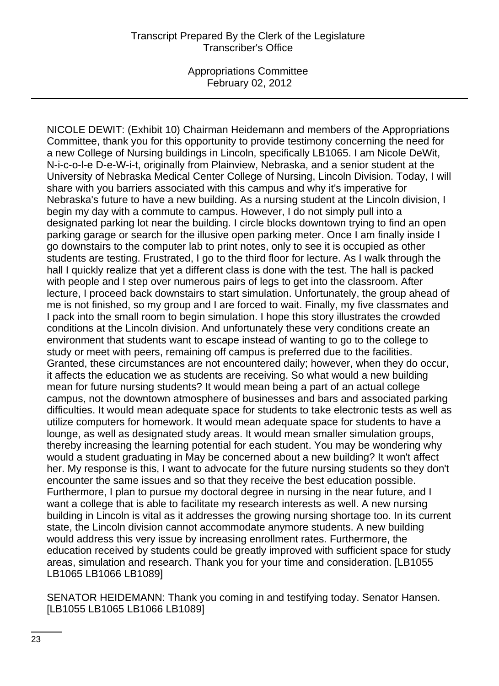NICOLE DEWIT: (Exhibit 10) Chairman Heidemann and members of the Appropriations Committee, thank you for this opportunity to provide testimony concerning the need for a new College of Nursing buildings in Lincoln, specifically LB1065. I am Nicole DeWit, N-i-c-o-l-e D-e-W-i-t, originally from Plainview, Nebraska, and a senior student at the University of Nebraska Medical Center College of Nursing, Lincoln Division. Today, I will share with you barriers associated with this campus and why it's imperative for Nebraska's future to have a new building. As a nursing student at the Lincoln division, I begin my day with a commute to campus. However, I do not simply pull into a designated parking lot near the building. I circle blocks downtown trying to find an open parking garage or search for the illusive open parking meter. Once I am finally inside I go downstairs to the computer lab to print notes, only to see it is occupied as other students are testing. Frustrated, I go to the third floor for lecture. As I walk through the hall I quickly realize that yet a different class is done with the test. The hall is packed with people and I step over numerous pairs of legs to get into the classroom. After lecture, I proceed back downstairs to start simulation. Unfortunately, the group ahead of me is not finished, so my group and I are forced to wait. Finally, my five classmates and I pack into the small room to begin simulation. I hope this story illustrates the crowded conditions at the Lincoln division. And unfortunately these very conditions create an environment that students want to escape instead of wanting to go to the college to study or meet with peers, remaining off campus is preferred due to the facilities. Granted, these circumstances are not encountered daily; however, when they do occur, it affects the education we as students are receiving. So what would a new building mean for future nursing students? It would mean being a part of an actual college campus, not the downtown atmosphere of businesses and bars and associated parking difficulties. It would mean adequate space for students to take electronic tests as well as utilize computers for homework. It would mean adequate space for students to have a lounge, as well as designated study areas. It would mean smaller simulation groups, thereby increasing the learning potential for each student. You may be wondering why would a student graduating in May be concerned about a new building? It won't affect her. My response is this, I want to advocate for the future nursing students so they don't encounter the same issues and so that they receive the best education possible. Furthermore, I plan to pursue my doctoral degree in nursing in the near future, and I want a college that is able to facilitate my research interests as well. A new nursing building in Lincoln is vital as it addresses the growing nursing shortage too. In its current state, the Lincoln division cannot accommodate anymore students. A new building would address this very issue by increasing enrollment rates. Furthermore, the education received by students could be greatly improved with sufficient space for study areas, simulation and research. Thank you for your time and consideration. [LB1055 LB1065 LB1066 LB1089]

SENATOR HEIDEMANN: Thank you coming in and testifying today. Senator Hansen. [LB1055 LB1065 LB1066 LB1089]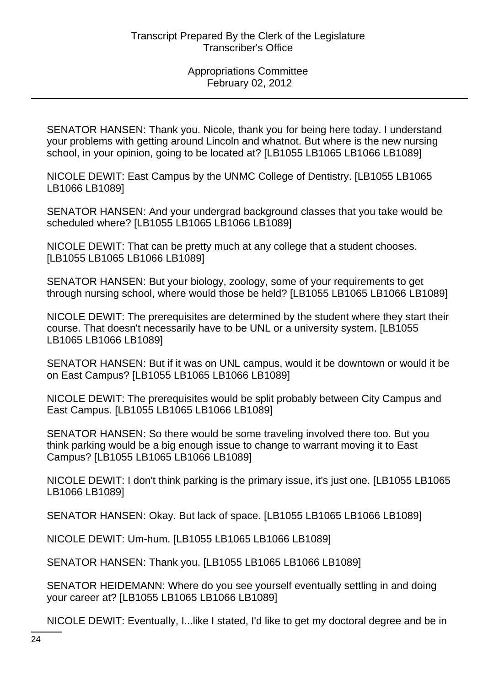SENATOR HANSEN: Thank you. Nicole, thank you for being here today. I understand your problems with getting around Lincoln and whatnot. But where is the new nursing school, in your opinion, going to be located at? [LB1055 LB1065 LB1066 LB1089]

NICOLE DEWIT: East Campus by the UNMC College of Dentistry. [LB1055 LB1065 LB1066 LB1089]

SENATOR HANSEN: And your undergrad background classes that you take would be scheduled where? [LB1055 LB1065 LB1066 LB1089]

NICOLE DEWIT: That can be pretty much at any college that a student chooses. [LB1055 LB1065 LB1066 LB1089]

SENATOR HANSEN: But your biology, zoology, some of your requirements to get through nursing school, where would those be held? [LB1055 LB1065 LB1066 LB1089]

NICOLE DEWIT: The prerequisites are determined by the student where they start their course. That doesn't necessarily have to be UNL or a university system. [LB1055 LB1065 LB1066 LB1089]

SENATOR HANSEN: But if it was on UNL campus, would it be downtown or would it be on East Campus? [LB1055 LB1065 LB1066 LB1089]

NICOLE DEWIT: The prerequisites would be split probably between City Campus and East Campus. [LB1055 LB1065 LB1066 LB1089]

SENATOR HANSEN: So there would be some traveling involved there too. But you think parking would be a big enough issue to change to warrant moving it to East Campus? [LB1055 LB1065 LB1066 LB1089]

NICOLE DEWIT: I don't think parking is the primary issue, it's just one. [LB1055 LB1065 LB1066 LB1089]

SENATOR HANSEN: Okay. But lack of space. [LB1055 LB1065 LB1066 LB1089]

NICOLE DEWIT: Um-hum. [LB1055 LB1065 LB1066 LB1089]

SENATOR HANSEN: Thank you. [LB1055 LB1065 LB1066 LB1089]

SENATOR HEIDEMANN: Where do you see yourself eventually settling in and doing your career at? [LB1055 LB1065 LB1066 LB1089]

NICOLE DEWIT: Eventually, I...like I stated, I'd like to get my doctoral degree and be in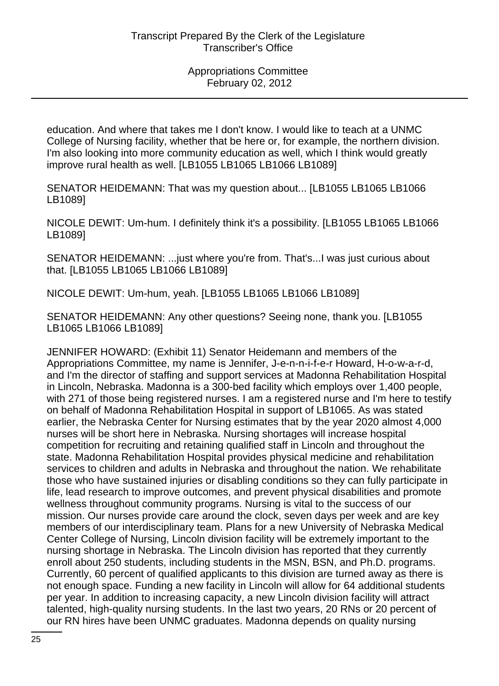education. And where that takes me I don't know. I would like to teach at a UNMC College of Nursing facility, whether that be here or, for example, the northern division. I'm also looking into more community education as well, which I think would greatly improve rural health as well. [LB1055 LB1065 LB1066 LB1089]

SENATOR HEIDEMANN: That was my question about... [LB1055 LB1065 LB1066 LB1089]

NICOLE DEWIT: Um-hum. I definitely think it's a possibility. [LB1055 LB1065 LB1066 LB1089]

SENATOR HEIDEMANN: ...just where you're from. That's...I was just curious about that. [LB1055 LB1065 LB1066 LB1089]

NICOLE DEWIT: Um-hum, yeah. [LB1055 LB1065 LB1066 LB1089]

SENATOR HEIDEMANN: Any other questions? Seeing none, thank you. [LB1055 LB1065 LB1066 LB1089]

JENNIFER HOWARD: (Exhibit 11) Senator Heidemann and members of the Appropriations Committee, my name is Jennifer, J-e-n-n-i-f-e-r Howard, H-o-w-a-r-d, and I'm the director of staffing and support services at Madonna Rehabilitation Hospital in Lincoln, Nebraska. Madonna is a 300-bed facility which employs over 1,400 people, with 271 of those being registered nurses. I am a registered nurse and I'm here to testify on behalf of Madonna Rehabilitation Hospital in support of LB1065. As was stated earlier, the Nebraska Center for Nursing estimates that by the year 2020 almost 4,000 nurses will be short here in Nebraska. Nursing shortages will increase hospital competition for recruiting and retaining qualified staff in Lincoln and throughout the state. Madonna Rehabilitation Hospital provides physical medicine and rehabilitation services to children and adults in Nebraska and throughout the nation. We rehabilitate those who have sustained injuries or disabling conditions so they can fully participate in life, lead research to improve outcomes, and prevent physical disabilities and promote wellness throughout community programs. Nursing is vital to the success of our mission. Our nurses provide care around the clock, seven days per week and are key members of our interdisciplinary team. Plans for a new University of Nebraska Medical Center College of Nursing, Lincoln division facility will be extremely important to the nursing shortage in Nebraska. The Lincoln division has reported that they currently enroll about 250 students, including students in the MSN, BSN, and Ph.D. programs. Currently, 60 percent of qualified applicants to this division are turned away as there is not enough space. Funding a new facility in Lincoln will allow for 64 additional students per year. In addition to increasing capacity, a new Lincoln division facility will attract talented, high-quality nursing students. In the last two years, 20 RNs or 20 percent of our RN hires have been UNMC graduates. Madonna depends on quality nursing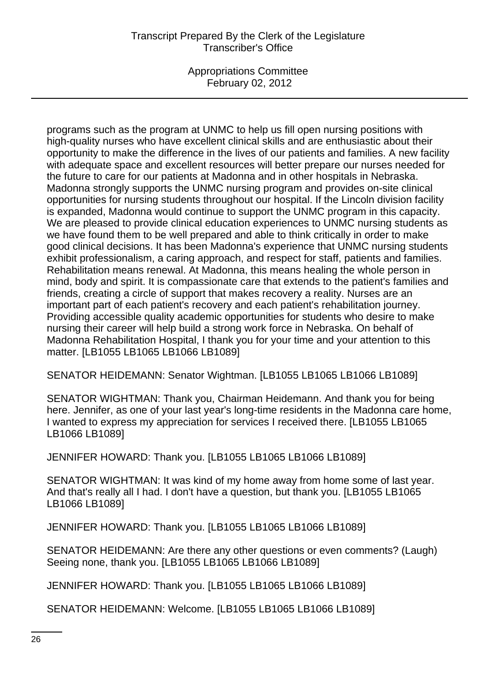Appropriations Committee February 02, 2012

programs such as the program at UNMC to help us fill open nursing positions with high-quality nurses who have excellent clinical skills and are enthusiastic about their opportunity to make the difference in the lives of our patients and families. A new facility with adequate space and excellent resources will better prepare our nurses needed for the future to care for our patients at Madonna and in other hospitals in Nebraska. Madonna strongly supports the UNMC nursing program and provides on-site clinical opportunities for nursing students throughout our hospital. If the Lincoln division facility is expanded, Madonna would continue to support the UNMC program in this capacity. We are pleased to provide clinical education experiences to UNMC nursing students as we have found them to be well prepared and able to think critically in order to make good clinical decisions. It has been Madonna's experience that UNMC nursing students exhibit professionalism, a caring approach, and respect for staff, patients and families. Rehabilitation means renewal. At Madonna, this means healing the whole person in mind, body and spirit. It is compassionate care that extends to the patient's families and friends, creating a circle of support that makes recovery a reality. Nurses are an important part of each patient's recovery and each patient's rehabilitation journey. Providing accessible quality academic opportunities for students who desire to make nursing their career will help build a strong work force in Nebraska. On behalf of Madonna Rehabilitation Hospital, I thank you for your time and your attention to this matter. [LB1055 LB1065 LB1066 LB1089]

SENATOR HEIDEMANN: Senator Wightman. [LB1055 LB1065 LB1066 LB1089]

SENATOR WIGHTMAN: Thank you, Chairman Heidemann. And thank you for being here. Jennifer, as one of your last year's long-time residents in the Madonna care home, I wanted to express my appreciation for services I received there. [LB1055 LB1065 LB1066 LB1089]

JENNIFER HOWARD: Thank you. [LB1055 LB1065 LB1066 LB1089]

SENATOR WIGHTMAN: It was kind of my home away from home some of last year. And that's really all I had. I don't have a question, but thank you. [LB1055 LB1065 LB1066 LB1089]

JENNIFER HOWARD: Thank you. [LB1055 LB1065 LB1066 LB1089]

SENATOR HEIDEMANN: Are there any other questions or even comments? (Laugh) Seeing none, thank you. [LB1055 LB1065 LB1066 LB1089]

JENNIFER HOWARD: Thank you. [LB1055 LB1065 LB1066 LB1089]

SENATOR HEIDEMANN: Welcome. [LB1055 LB1065 LB1066 LB1089]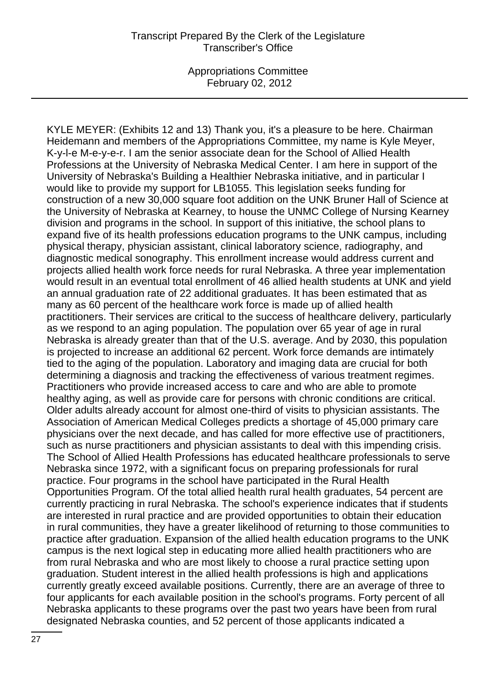KYLE MEYER: (Exhibits 12 and 13) Thank you, it's a pleasure to be here. Chairman Heidemann and members of the Appropriations Committee, my name is Kyle Meyer, K-y-l-e M-e-y-e-r. I am the senior associate dean for the School of Allied Health Professions at the University of Nebraska Medical Center. I am here in support of the University of Nebraska's Building a Healthier Nebraska initiative, and in particular I would like to provide my support for LB1055. This legislation seeks funding for construction of a new 30,000 square foot addition on the UNK Bruner Hall of Science at the University of Nebraska at Kearney, to house the UNMC College of Nursing Kearney division and programs in the school. In support of this initiative, the school plans to expand five of its health professions education programs to the UNK campus, including physical therapy, physician assistant, clinical laboratory science, radiography, and diagnostic medical sonography. This enrollment increase would address current and projects allied health work force needs for rural Nebraska. A three year implementation would result in an eventual total enrollment of 46 allied health students at UNK and yield an annual graduation rate of 22 additional graduates. It has been estimated that as many as 60 percent of the healthcare work force is made up of allied health practitioners. Their services are critical to the success of healthcare delivery, particularly as we respond to an aging population. The population over 65 year of age in rural Nebraska is already greater than that of the U.S. average. And by 2030, this population is projected to increase an additional 62 percent. Work force demands are intimately tied to the aging of the population. Laboratory and imaging data are crucial for both determining a diagnosis and tracking the effectiveness of various treatment regimes. Practitioners who provide increased access to care and who are able to promote healthy aging, as well as provide care for persons with chronic conditions are critical. Older adults already account for almost one-third of visits to physician assistants. The Association of American Medical Colleges predicts a shortage of 45,000 primary care physicians over the next decade, and has called for more effective use of practitioners, such as nurse practitioners and physician assistants to deal with this impending crisis. The School of Allied Health Professions has educated healthcare professionals to serve Nebraska since 1972, with a significant focus on preparing professionals for rural practice. Four programs in the school have participated in the Rural Health Opportunities Program. Of the total allied health rural health graduates, 54 percent are currently practicing in rural Nebraska. The school's experience indicates that if students are interested in rural practice and are provided opportunities to obtain their education in rural communities, they have a greater likelihood of returning to those communities to practice after graduation. Expansion of the allied health education programs to the UNK campus is the next logical step in educating more allied health practitioners who are from rural Nebraska and who are most likely to choose a rural practice setting upon graduation. Student interest in the allied health professions is high and applications currently greatly exceed available positions. Currently, there are an average of three to four applicants for each available position in the school's programs. Forty percent of all Nebraska applicants to these programs over the past two years have been from rural designated Nebraska counties, and 52 percent of those applicants indicated a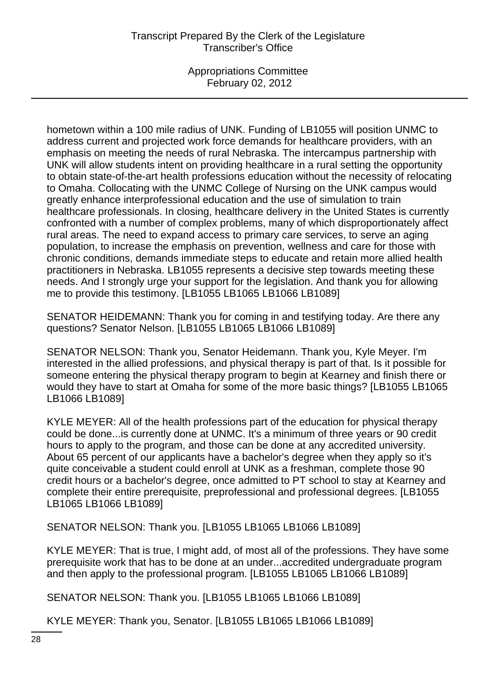Appropriations Committee February 02, 2012

hometown within a 100 mile radius of UNK. Funding of LB1055 will position UNMC to address current and projected work force demands for healthcare providers, with an emphasis on meeting the needs of rural Nebraska. The intercampus partnership with UNK will allow students intent on providing healthcare in a rural setting the opportunity to obtain state-of-the-art health professions education without the necessity of relocating to Omaha. Collocating with the UNMC College of Nursing on the UNK campus would greatly enhance interprofessional education and the use of simulation to train healthcare professionals. In closing, healthcare delivery in the United States is currently confronted with a number of complex problems, many of which disproportionately affect rural areas. The need to expand access to primary care services, to serve an aging population, to increase the emphasis on prevention, wellness and care for those with chronic conditions, demands immediate steps to educate and retain more allied health practitioners in Nebraska. LB1055 represents a decisive step towards meeting these needs. And I strongly urge your support for the legislation. And thank you for allowing me to provide this testimony. [LB1055 LB1065 LB1066 LB1089]

SENATOR HEIDEMANN: Thank you for coming in and testifying today. Are there any questions? Senator Nelson. [LB1055 LB1065 LB1066 LB1089]

SENATOR NELSON: Thank you, Senator Heidemann. Thank you, Kyle Meyer. I'm interested in the allied professions, and physical therapy is part of that. Is it possible for someone entering the physical therapy program to begin at Kearney and finish there or would they have to start at Omaha for some of the more basic things? [LB1055 LB1065 LB1066 LB1089]

KYLE MEYER: All of the health professions part of the education for physical therapy could be done...is currently done at UNMC. It's a minimum of three years or 90 credit hours to apply to the program, and those can be done at any accredited university. About 65 percent of our applicants have a bachelor's degree when they apply so it's quite conceivable a student could enroll at UNK as a freshman, complete those 90 credit hours or a bachelor's degree, once admitted to PT school to stay at Kearney and complete their entire prerequisite, preprofessional and professional degrees. [LB1055 LB1065 LB1066 LB1089]

SENATOR NELSON: Thank you. [LB1055 LB1065 LB1066 LB1089]

KYLE MEYER: That is true, I might add, of most all of the professions. They have some prerequisite work that has to be done at an under...accredited undergraduate program and then apply to the professional program. [LB1055 LB1065 LB1066 LB1089]

SENATOR NELSON: Thank you. [LB1055 LB1065 LB1066 LB1089]

KYLE MEYER: Thank you, Senator. [LB1055 LB1065 LB1066 LB1089]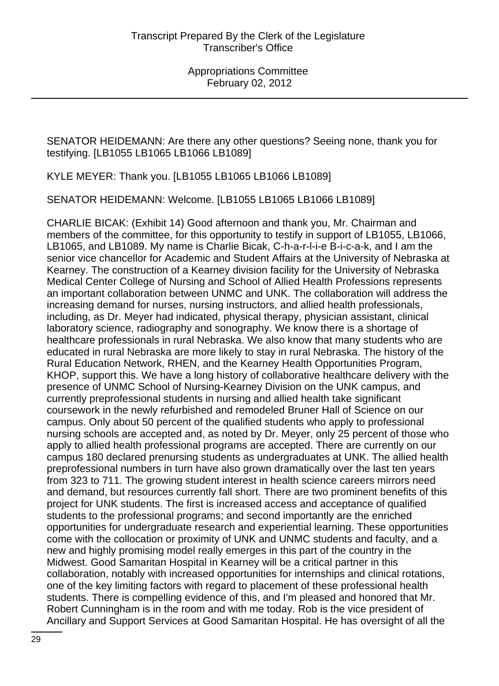SENATOR HEIDEMANN: Are there any other questions? Seeing none, thank you for testifying. [LB1055 LB1065 LB1066 LB1089]

KYLE MEYER: Thank you. [LB1055 LB1065 LB1066 LB1089]

SENATOR HEIDEMANN: Welcome. [LB1055 LB1065 LB1066 LB1089]

CHARLIE BICAK: (Exhibit 14) Good afternoon and thank you, Mr. Chairman and members of the committee, for this opportunity to testify in support of LB1055, LB1066, LB1065, and LB1089. My name is Charlie Bicak, C-h-a-r-l-i-e B-i-c-a-k, and I am the senior vice chancellor for Academic and Student Affairs at the University of Nebraska at Kearney. The construction of a Kearney division facility for the University of Nebraska Medical Center College of Nursing and School of Allied Health Professions represents an important collaboration between UNMC and UNK. The collaboration will address the increasing demand for nurses, nursing instructors, and allied health professionals, including, as Dr. Meyer had indicated, physical therapy, physician assistant, clinical laboratory science, radiography and sonography. We know there is a shortage of healthcare professionals in rural Nebraska. We also know that many students who are educated in rural Nebraska are more likely to stay in rural Nebraska. The history of the Rural Education Network, RHEN, and the Kearney Health Opportunities Program, KHOP, support this. We have a long history of collaborative healthcare delivery with the presence of UNMC School of Nursing-Kearney Division on the UNK campus, and currently preprofessional students in nursing and allied health take significant coursework in the newly refurbished and remodeled Bruner Hall of Science on our campus. Only about 50 percent of the qualified students who apply to professional nursing schools are accepted and, as noted by Dr. Meyer, only 25 percent of those who apply to allied health professional programs are accepted. There are currently on our campus 180 declared prenursing students as undergraduates at UNK. The allied health preprofessional numbers in turn have also grown dramatically over the last ten years from 323 to 711. The growing student interest in health science careers mirrors need and demand, but resources currently fall short. There are two prominent benefits of this project for UNK students. The first is increased access and acceptance of qualified students to the professional programs; and second importantly are the enriched opportunities for undergraduate research and experiential learning. These opportunities come with the collocation or proximity of UNK and UNMC students and faculty, and a new and highly promising model really emerges in this part of the country in the Midwest. Good Samaritan Hospital in Kearney will be a critical partner in this collaboration, notably with increased opportunities for internships and clinical rotations, one of the key limiting factors with regard to placement of these professional health students. There is compelling evidence of this, and I'm pleased and honored that Mr. Robert Cunningham is in the room and with me today. Rob is the vice president of Ancillary and Support Services at Good Samaritan Hospital. He has oversight of all the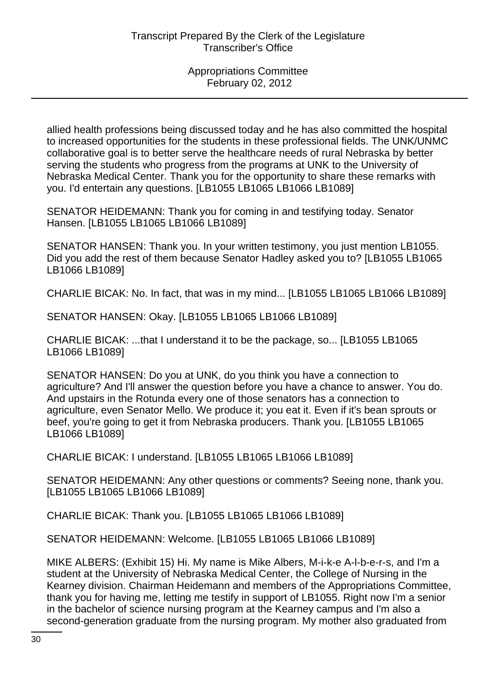allied health professions being discussed today and he has also committed the hospital to increased opportunities for the students in these professional fields. The UNK/UNMC collaborative goal is to better serve the healthcare needs of rural Nebraska by better serving the students who progress from the programs at UNK to the University of Nebraska Medical Center. Thank you for the opportunity to share these remarks with you. I'd entertain any questions. [LB1055 LB1065 LB1066 LB1089]

SENATOR HEIDEMANN: Thank you for coming in and testifying today. Senator Hansen. [LB1055 LB1065 LB1066 LB1089]

SENATOR HANSEN: Thank you. In your written testimony, you just mention LB1055. Did you add the rest of them because Senator Hadley asked you to? [LB1055 LB1065 LB1066 LB1089]

CHARLIE BICAK: No. In fact, that was in my mind... [LB1055 LB1065 LB1066 LB1089]

SENATOR HANSEN: Okay. [LB1055 LB1065 LB1066 LB1089]

CHARLIE BICAK: ...that I understand it to be the package, so... [LB1055 LB1065 LB1066 LB1089]

SENATOR HANSEN: Do you at UNK, do you think you have a connection to agriculture? And I'll answer the question before you have a chance to answer. You do. And upstairs in the Rotunda every one of those senators has a connection to agriculture, even Senator Mello. We produce it; you eat it. Even if it's bean sprouts or beef, you're going to get it from Nebraska producers. Thank you. [LB1055 LB1065 LB1066 LB1089]

CHARLIE BICAK: I understand. [LB1055 LB1065 LB1066 LB1089]

SENATOR HEIDEMANN: Any other questions or comments? Seeing none, thank you. [LB1055 LB1065 LB1066 LB1089]

CHARLIE BICAK: Thank you. [LB1055 LB1065 LB1066 LB1089]

SENATOR HEIDEMANN: Welcome. [LB1055 LB1065 LB1066 LB1089]

MIKE ALBERS: (Exhibit 15) Hi. My name is Mike Albers, M-i-k-e A-l-b-e-r-s, and I'm a student at the University of Nebraska Medical Center, the College of Nursing in the Kearney division. Chairman Heidemann and members of the Appropriations Committee, thank you for having me, letting me testify in support of LB1055. Right now I'm a senior in the bachelor of science nursing program at the Kearney campus and I'm also a second-generation graduate from the nursing program. My mother also graduated from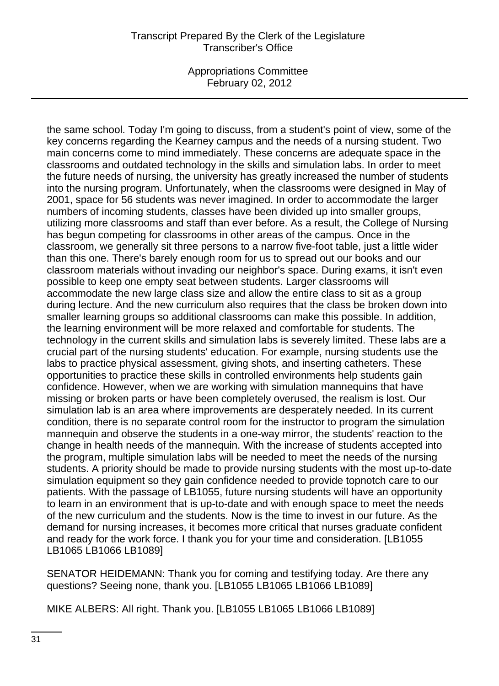Appropriations Committee February 02, 2012

the same school. Today I'm going to discuss, from a student's point of view, some of the key concerns regarding the Kearney campus and the needs of a nursing student. Two main concerns come to mind immediately. These concerns are adequate space in the classrooms and outdated technology in the skills and simulation labs. In order to meet the future needs of nursing, the university has greatly increased the number of students into the nursing program. Unfortunately, when the classrooms were designed in May of 2001, space for 56 students was never imagined. In order to accommodate the larger numbers of incoming students, classes have been divided up into smaller groups, utilizing more classrooms and staff than ever before. As a result, the College of Nursing has begun competing for classrooms in other areas of the campus. Once in the classroom, we generally sit three persons to a narrow five-foot table, just a little wider than this one. There's barely enough room for us to spread out our books and our classroom materials without invading our neighbor's space. During exams, it isn't even possible to keep one empty seat between students. Larger classrooms will accommodate the new large class size and allow the entire class to sit as a group during lecture. And the new curriculum also requires that the class be broken down into smaller learning groups so additional classrooms can make this possible. In addition, the learning environment will be more relaxed and comfortable for students. The technology in the current skills and simulation labs is severely limited. These labs are a crucial part of the nursing students' education. For example, nursing students use the labs to practice physical assessment, giving shots, and inserting catheters. These opportunities to practice these skills in controlled environments help students gain confidence. However, when we are working with simulation mannequins that have missing or broken parts or have been completely overused, the realism is lost. Our simulation lab is an area where improvements are desperately needed. In its current condition, there is no separate control room for the instructor to program the simulation mannequin and observe the students in a one-way mirror, the students' reaction to the change in health needs of the mannequin. With the increase of students accepted into the program, multiple simulation labs will be needed to meet the needs of the nursing students. A priority should be made to provide nursing students with the most up-to-date simulation equipment so they gain confidence needed to provide topnotch care to our patients. With the passage of LB1055, future nursing students will have an opportunity to learn in an environment that is up-to-date and with enough space to meet the needs of the new curriculum and the students. Now is the time to invest in our future. As the demand for nursing increases, it becomes more critical that nurses graduate confident and ready for the work force. I thank you for your time and consideration. [LB1055 LB1065 LB1066 LB1089]

SENATOR HEIDEMANN: Thank you for coming and testifying today. Are there any questions? Seeing none, thank you. [LB1055 LB1065 LB1066 LB1089]

MIKE ALBERS: All right. Thank you. [LB1055 LB1065 LB1066 LB1089]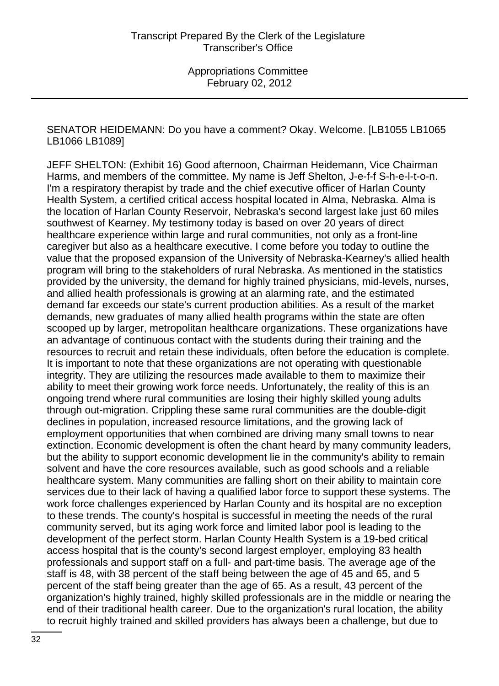SENATOR HEIDEMANN: Do you have a comment? Okay. Welcome. [LB1055 LB1065 LB1066 LB1089]

JEFF SHELTON: (Exhibit 16) Good afternoon, Chairman Heidemann, Vice Chairman Harms, and members of the committee. My name is Jeff Shelton, J-e-f-f S-h-e-l-t-o-n. I'm a respiratory therapist by trade and the chief executive officer of Harlan County Health System, a certified critical access hospital located in Alma, Nebraska. Alma is the location of Harlan County Reservoir, Nebraska's second largest lake just 60 miles southwest of Kearney. My testimony today is based on over 20 years of direct healthcare experience within large and rural communities, not only as a front-line caregiver but also as a healthcare executive. I come before you today to outline the value that the proposed expansion of the University of Nebraska-Kearney's allied health program will bring to the stakeholders of rural Nebraska. As mentioned in the statistics provided by the university, the demand for highly trained physicians, mid-levels, nurses, and allied health professionals is growing at an alarming rate, and the estimated demand far exceeds our state's current production abilities. As a result of the market demands, new graduates of many allied health programs within the state are often scooped up by larger, metropolitan healthcare organizations. These organizations have an advantage of continuous contact with the students during their training and the resources to recruit and retain these individuals, often before the education is complete. It is important to note that these organizations are not operating with questionable integrity. They are utilizing the resources made available to them to maximize their ability to meet their growing work force needs. Unfortunately, the reality of this is an ongoing trend where rural communities are losing their highly skilled young adults through out-migration. Crippling these same rural communities are the double-digit declines in population, increased resource limitations, and the growing lack of employment opportunities that when combined are driving many small towns to near extinction. Economic development is often the chant heard by many community leaders, but the ability to support economic development lie in the community's ability to remain solvent and have the core resources available, such as good schools and a reliable healthcare system. Many communities are falling short on their ability to maintain core services due to their lack of having a qualified labor force to support these systems. The work force challenges experienced by Harlan County and its hospital are no exception to these trends. The county's hospital is successful in meeting the needs of the rural community served, but its aging work force and limited labor pool is leading to the development of the perfect storm. Harlan County Health System is a 19-bed critical access hospital that is the county's second largest employer, employing 83 health professionals and support staff on a full- and part-time basis. The average age of the staff is 48, with 38 percent of the staff being between the age of 45 and 65, and 5 percent of the staff being greater than the age of 65. As a result, 43 percent of the organization's highly trained, highly skilled professionals are in the middle or nearing the end of their traditional health career. Due to the organization's rural location, the ability to recruit highly trained and skilled providers has always been a challenge, but due to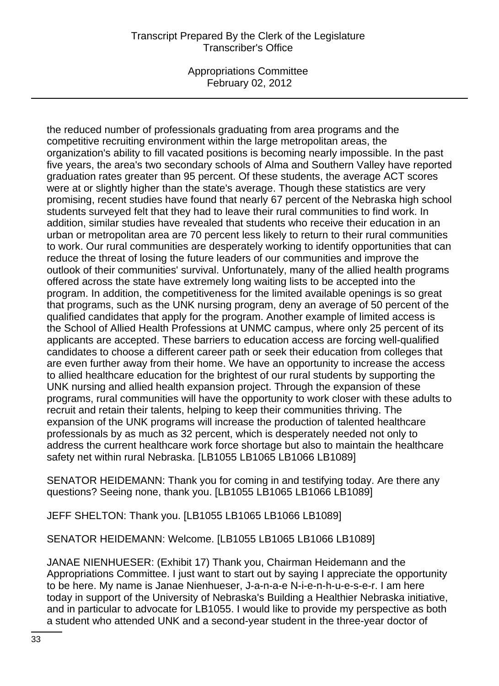Appropriations Committee February 02, 2012

the reduced number of professionals graduating from area programs and the competitive recruiting environment within the large metropolitan areas, the organization's ability to fill vacated positions is becoming nearly impossible. In the past five years, the area's two secondary schools of Alma and Southern Valley have reported graduation rates greater than 95 percent. Of these students, the average ACT scores were at or slightly higher than the state's average. Though these statistics are very promising, recent studies have found that nearly 67 percent of the Nebraska high school students surveyed felt that they had to leave their rural communities to find work. In addition, similar studies have revealed that students who receive their education in an urban or metropolitan area are 70 percent less likely to return to their rural communities to work. Our rural communities are desperately working to identify opportunities that can reduce the threat of losing the future leaders of our communities and improve the outlook of their communities' survival. Unfortunately, many of the allied health programs offered across the state have extremely long waiting lists to be accepted into the program. In addition, the competitiveness for the limited available openings is so great that programs, such as the UNK nursing program, deny an average of 50 percent of the qualified candidates that apply for the program. Another example of limited access is the School of Allied Health Professions at UNMC campus, where only 25 percent of its applicants are accepted. These barriers to education access are forcing well-qualified candidates to choose a different career path or seek their education from colleges that are even further away from their home. We have an opportunity to increase the access to allied healthcare education for the brightest of our rural students by supporting the UNK nursing and allied health expansion project. Through the expansion of these programs, rural communities will have the opportunity to work closer with these adults to recruit and retain their talents, helping to keep their communities thriving. The expansion of the UNK programs will increase the production of talented healthcare professionals by as much as 32 percent, which is desperately needed not only to address the current healthcare work force shortage but also to maintain the healthcare safety net within rural Nebraska. [LB1055 LB1065 LB1066 LB1089]

SENATOR HEIDEMANN: Thank you for coming in and testifying today. Are there any questions? Seeing none, thank you. [LB1055 LB1065 LB1066 LB1089]

JEFF SHELTON: Thank you. [LB1055 LB1065 LB1066 LB1089]

SENATOR HEIDEMANN: Welcome. [LB1055 LB1065 LB1066 LB1089]

JANAE NIENHUESER: (Exhibit 17) Thank you, Chairman Heidemann and the Appropriations Committee. I just want to start out by saying I appreciate the opportunity to be here. My name is Janae Nienhueser, J-a-n-a-e N-i-e-n-h-u-e-s-e-r. I am here today in support of the University of Nebraska's Building a Healthier Nebraska initiative, and in particular to advocate for LB1055. I would like to provide my perspective as both a student who attended UNK and a second-year student in the three-year doctor of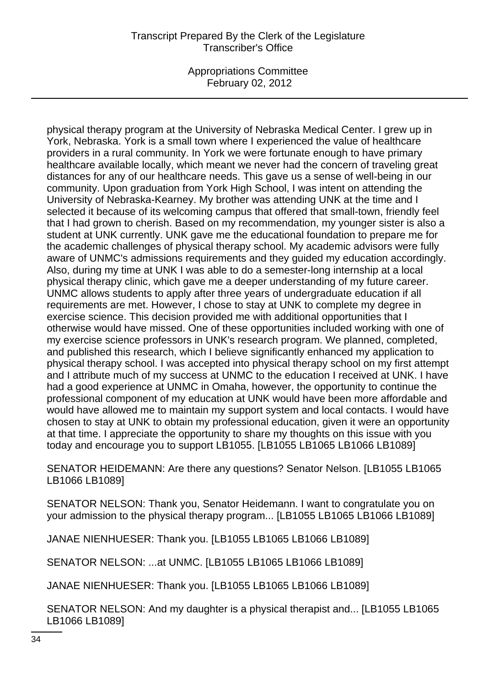Appropriations Committee February 02, 2012

physical therapy program at the University of Nebraska Medical Center. I grew up in York, Nebraska. York is a small town where I experienced the value of healthcare providers in a rural community. In York we were fortunate enough to have primary healthcare available locally, which meant we never had the concern of traveling great distances for any of our healthcare needs. This gave us a sense of well-being in our community. Upon graduation from York High School, I was intent on attending the University of Nebraska-Kearney. My brother was attending UNK at the time and I selected it because of its welcoming campus that offered that small-town, friendly feel that I had grown to cherish. Based on my recommendation, my younger sister is also a student at UNK currently. UNK gave me the educational foundation to prepare me for the academic challenges of physical therapy school. My academic advisors were fully aware of UNMC's admissions requirements and they guided my education accordingly. Also, during my time at UNK I was able to do a semester-long internship at a local physical therapy clinic, which gave me a deeper understanding of my future career. UNMC allows students to apply after three years of undergraduate education if all requirements are met. However, I chose to stay at UNK to complete my degree in exercise science. This decision provided me with additional opportunities that I otherwise would have missed. One of these opportunities included working with one of my exercise science professors in UNK's research program. We planned, completed, and published this research, which I believe significantly enhanced my application to physical therapy school. I was accepted into physical therapy school on my first attempt and I attribute much of my success at UNMC to the education I received at UNK. I have had a good experience at UNMC in Omaha, however, the opportunity to continue the professional component of my education at UNK would have been more affordable and would have allowed me to maintain my support system and local contacts. I would have chosen to stay at UNK to obtain my professional education, given it were an opportunity at that time. I appreciate the opportunity to share my thoughts on this issue with you today and encourage you to support LB1055. [LB1055 LB1065 LB1066 LB1089]

SENATOR HEIDEMANN: Are there any questions? Senator Nelson. [LB1055 LB1065 LB1066 LB1089]

SENATOR NELSON: Thank you, Senator Heidemann. I want to congratulate you on your admission to the physical therapy program... [LB1055 LB1065 LB1066 LB1089]

JANAE NIENHUESER: Thank you. [LB1055 LB1065 LB1066 LB1089]

SENATOR NELSON: ...at UNMC. [LB1055 LB1065 LB1066 LB1089]

JANAE NIENHUESER: Thank you. [LB1055 LB1065 LB1066 LB1089]

SENATOR NELSON: And my daughter is a physical therapist and... [LB1055 LB1065 LB1066 LB1089]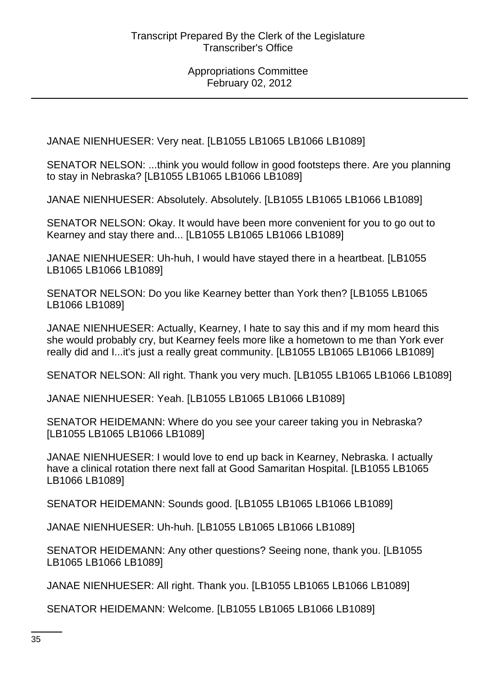JANAE NIENHUESER: Very neat. [LB1055 LB1065 LB1066 LB1089]

SENATOR NELSON: ...think you would follow in good footsteps there. Are you planning to stay in Nebraska? [LB1055 LB1065 LB1066 LB1089]

JANAE NIENHUESER: Absolutely. Absolutely. [LB1055 LB1065 LB1066 LB1089]

SENATOR NELSON: Okay. It would have been more convenient for you to go out to Kearney and stay there and... [LB1055 LB1065 LB1066 LB1089]

JANAE NIENHUESER: Uh-huh, I would have stayed there in a heartbeat. [LB1055 LB1065 LB1066 LB1089]

SENATOR NELSON: Do you like Kearney better than York then? [LB1055 LB1065 LB1066 LB1089]

JANAE NIENHUESER: Actually, Kearney, I hate to say this and if my mom heard this she would probably cry, but Kearney feels more like a hometown to me than York ever really did and I...it's just a really great community. [LB1055 LB1065 LB1066 LB1089]

SENATOR NELSON: All right. Thank you very much. [LB1055 LB1065 LB1066 LB1089]

JANAE NIENHUESER: Yeah. [LB1055 LB1065 LB1066 LB1089]

SENATOR HEIDEMANN: Where do you see your career taking you in Nebraska? [LB1055 LB1065 LB1066 LB1089]

JANAE NIENHUESER: I would love to end up back in Kearney, Nebraska. I actually have a clinical rotation there next fall at Good Samaritan Hospital. [LB1055 LB1065 LB1066 LB1089]

SENATOR HEIDEMANN: Sounds good. [LB1055 LB1065 LB1066 LB1089]

JANAE NIENHUESER: Uh-huh. [LB1055 LB1065 LB1066 LB1089]

SENATOR HEIDEMANN: Any other questions? Seeing none, thank you. [LB1055 LB1065 LB1066 LB1089]

JANAE NIENHUESER: All right. Thank you. [LB1055 LB1065 LB1066 LB1089]

SENATOR HEIDEMANN: Welcome. [LB1055 LB1065 LB1066 LB1089]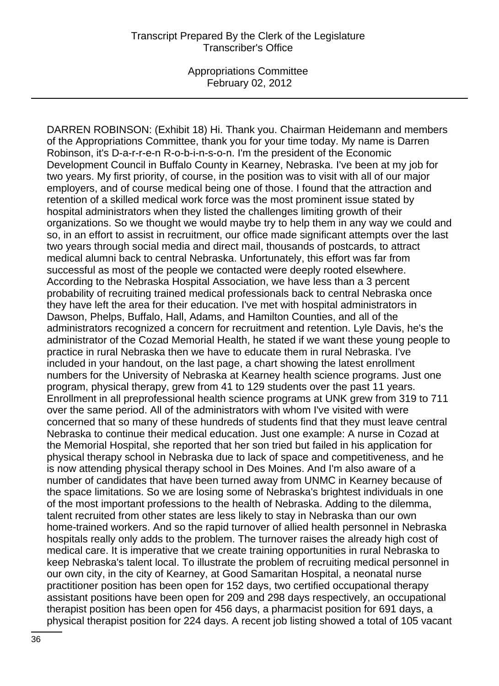DARREN ROBINSON: (Exhibit 18) Hi. Thank you. Chairman Heidemann and members of the Appropriations Committee, thank you for your time today. My name is Darren Robinson, it's D-a-r-r-e-n R-o-b-i-n-s-o-n. I'm the president of the Economic Development Council in Buffalo County in Kearney, Nebraska. I've been at my job for two years. My first priority, of course, in the position was to visit with all of our major employers, and of course medical being one of those. I found that the attraction and retention of a skilled medical work force was the most prominent issue stated by hospital administrators when they listed the challenges limiting growth of their organizations. So we thought we would maybe try to help them in any way we could and so, in an effort to assist in recruitment, our office made significant attempts over the last two years through social media and direct mail, thousands of postcards, to attract medical alumni back to central Nebraska. Unfortunately, this effort was far from successful as most of the people we contacted were deeply rooted elsewhere. According to the Nebraska Hospital Association, we have less than a 3 percent probability of recruiting trained medical professionals back to central Nebraska once they have left the area for their education. I've met with hospital administrators in Dawson, Phelps, Buffalo, Hall, Adams, and Hamilton Counties, and all of the administrators recognized a concern for recruitment and retention. Lyle Davis, he's the administrator of the Cozad Memorial Health, he stated if we want these young people to practice in rural Nebraska then we have to educate them in rural Nebraska. I've included in your handout, on the last page, a chart showing the latest enrollment numbers for the University of Nebraska at Kearney health science programs. Just one program, physical therapy, grew from 41 to 129 students over the past 11 years. Enrollment in all preprofessional health science programs at UNK grew from 319 to 711 over the same period. All of the administrators with whom I've visited with were concerned that so many of these hundreds of students find that they must leave central Nebraska to continue their medical education. Just one example: A nurse in Cozad at the Memorial Hospital, she reported that her son tried but failed in his application for physical therapy school in Nebraska due to lack of space and competitiveness, and he is now attending physical therapy school in Des Moines. And I'm also aware of a number of candidates that have been turned away from UNMC in Kearney because of the space limitations. So we are losing some of Nebraska's brightest individuals in one of the most important professions to the health of Nebraska. Adding to the dilemma, talent recruited from other states are less likely to stay in Nebraska than our own home-trained workers. And so the rapid turnover of allied health personnel in Nebraska hospitals really only adds to the problem. The turnover raises the already high cost of medical care. It is imperative that we create training opportunities in rural Nebraska to keep Nebraska's talent local. To illustrate the problem of recruiting medical personnel in our own city, in the city of Kearney, at Good Samaritan Hospital, a neonatal nurse practitioner position has been open for 152 days, two certified occupational therapy assistant positions have been open for 209 and 298 days respectively, an occupational therapist position has been open for 456 days, a pharmacist position for 691 days, a physical therapist position for 224 days. A recent job listing showed a total of 105 vacant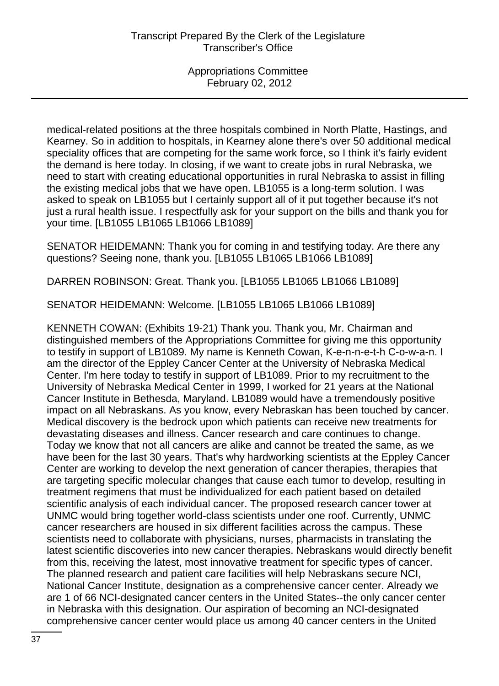medical-related positions at the three hospitals combined in North Platte, Hastings, and Kearney. So in addition to hospitals, in Kearney alone there's over 50 additional medical speciality offices that are competing for the same work force, so I think it's fairly evident the demand is here today. In closing, if we want to create jobs in rural Nebraska, we need to start with creating educational opportunities in rural Nebraska to assist in filling the existing medical jobs that we have open. LB1055 is a long-term solution. I was asked to speak on LB1055 but I certainly support all of it put together because it's not just a rural health issue. I respectfully ask for your support on the bills and thank you for your time. [LB1055 LB1065 LB1066 LB1089]

SENATOR HEIDEMANN: Thank you for coming in and testifying today. Are there any questions? Seeing none, thank you. [LB1055 LB1065 LB1066 LB1089]

DARREN ROBINSON: Great. Thank you. [LB1055 LB1065 LB1066 LB1089]

SENATOR HEIDEMANN: Welcome. [LB1055 LB1065 LB1066 LB1089]

KENNETH COWAN: (Exhibits 19-21) Thank you. Thank you, Mr. Chairman and distinguished members of the Appropriations Committee for giving me this opportunity to testify in support of LB1089. My name is Kenneth Cowan, K-e-n-n-e-t-h C-o-w-a-n. I am the director of the Eppley Cancer Center at the University of Nebraska Medical Center. I'm here today to testify in support of LB1089. Prior to my recruitment to the University of Nebraska Medical Center in 1999, I worked for 21 years at the National Cancer Institute in Bethesda, Maryland. LB1089 would have a tremendously positive impact on all Nebraskans. As you know, every Nebraskan has been touched by cancer. Medical discovery is the bedrock upon which patients can receive new treatments for devastating diseases and illness. Cancer research and care continues to change. Today we know that not all cancers are alike and cannot be treated the same, as we have been for the last 30 years. That's why hardworking scientists at the Eppley Cancer Center are working to develop the next generation of cancer therapies, therapies that are targeting specific molecular changes that cause each tumor to develop, resulting in treatment regimens that must be individualized for each patient based on detailed scientific analysis of each individual cancer. The proposed research cancer tower at UNMC would bring together world-class scientists under one roof. Currently, UNMC cancer researchers are housed in six different facilities across the campus. These scientists need to collaborate with physicians, nurses, pharmacists in translating the latest scientific discoveries into new cancer therapies. Nebraskans would directly benefit from this, receiving the latest, most innovative treatment for specific types of cancer. The planned research and patient care facilities will help Nebraskans secure NCI, National Cancer Institute, designation as a comprehensive cancer center. Already we are 1 of 66 NCI-designated cancer centers in the United States--the only cancer center in Nebraska with this designation. Our aspiration of becoming an NCI-designated comprehensive cancer center would place us among 40 cancer centers in the United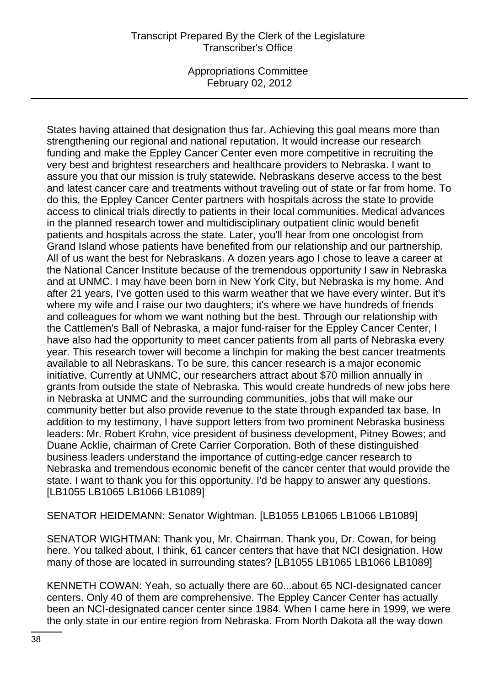Appropriations Committee February 02, 2012

States having attained that designation thus far. Achieving this goal means more than strengthening our regional and national reputation. It would increase our research funding and make the Eppley Cancer Center even more competitive in recruiting the very best and brightest researchers and healthcare providers to Nebraska. I want to assure you that our mission is truly statewide. Nebraskans deserve access to the best and latest cancer care and treatments without traveling out of state or far from home. To do this, the Eppley Cancer Center partners with hospitals across the state to provide access to clinical trials directly to patients in their local communities. Medical advances in the planned research tower and multidisciplinary outpatient clinic would benefit patients and hospitals across the state. Later, you'll hear from one oncologist from Grand Island whose patients have benefited from our relationship and our partnership. All of us want the best for Nebraskans. A dozen years ago I chose to leave a career at the National Cancer Institute because of the tremendous opportunity I saw in Nebraska and at UNMC. I may have been born in New York City, but Nebraska is my home. And after 21 years, I've gotten used to this warm weather that we have every winter. But it's where my wife and I raise our two daughters; it's where we have hundreds of friends and colleagues for whom we want nothing but the best. Through our relationship with the Cattlemen's Ball of Nebraska, a major fund-raiser for the Eppley Cancer Center, I have also had the opportunity to meet cancer patients from all parts of Nebraska every year. This research tower will become a linchpin for making the best cancer treatments available to all Nebraskans. To be sure, this cancer research is a major economic initiative. Currently at UNMC, our researchers attract about \$70 million annually in grants from outside the state of Nebraska. This would create hundreds of new jobs here in Nebraska at UNMC and the surrounding communities, jobs that will make our community better but also provide revenue to the state through expanded tax base. In addition to my testimony, I have support letters from two prominent Nebraska business leaders: Mr. Robert Krohn, vice president of business development, Pitney Bowes; and Duane Acklie, chairman of Crete Carrier Corporation. Both of these distinguished business leaders understand the importance of cutting-edge cancer research to Nebraska and tremendous economic benefit of the cancer center that would provide the state. I want to thank you for this opportunity. I'd be happy to answer any questions. [LB1055 LB1065 LB1066 LB1089]

SENATOR HEIDEMANN: Senator Wightman. [LB1055 LB1065 LB1066 LB1089]

SENATOR WIGHTMAN: Thank you, Mr. Chairman. Thank you, Dr. Cowan, for being here. You talked about, I think, 61 cancer centers that have that NCI designation. How many of those are located in surrounding states? [LB1055 LB1065 LB1066 LB1089]

KENNETH COWAN: Yeah, so actually there are 60...about 65 NCI-designated cancer centers. Only 40 of them are comprehensive. The Eppley Cancer Center has actually been an NCI-designated cancer center since 1984. When I came here in 1999, we were the only state in our entire region from Nebraska. From North Dakota all the way down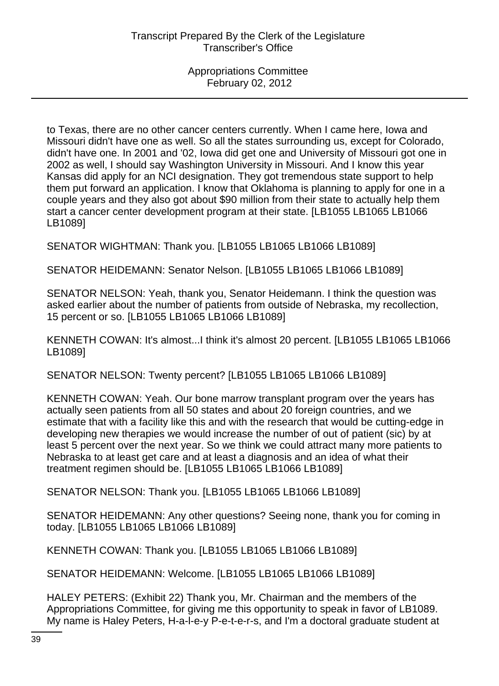to Texas, there are no other cancer centers currently. When I came here, Iowa and Missouri didn't have one as well. So all the states surrounding us, except for Colorado, didn't have one. In 2001 and '02, Iowa did get one and University of Missouri got one in 2002 as well, I should say Washington University in Missouri. And I know this year Kansas did apply for an NCI designation. They got tremendous state support to help them put forward an application. I know that Oklahoma is planning to apply for one in a couple years and they also got about \$90 million from their state to actually help them start a cancer center development program at their state. [LB1055 LB1065 LB1066 LB1089]

SENATOR WIGHTMAN: Thank you. [LB1055 LB1065 LB1066 LB1089]

SENATOR HEIDEMANN: Senator Nelson. [LB1055 LB1065 LB1066 LB1089]

SENATOR NELSON: Yeah, thank you, Senator Heidemann. I think the question was asked earlier about the number of patients from outside of Nebraska, my recollection, 15 percent or so. [LB1055 LB1065 LB1066 LB1089]

KENNETH COWAN: It's almost...I think it's almost 20 percent. [LB1055 LB1065 LB1066 LB1089]

SENATOR NELSON: Twenty percent? [LB1055 LB1065 LB1066 LB1089]

KENNETH COWAN: Yeah. Our bone marrow transplant program over the years has actually seen patients from all 50 states and about 20 foreign countries, and we estimate that with a facility like this and with the research that would be cutting-edge in developing new therapies we would increase the number of out of patient (sic) by at least 5 percent over the next year. So we think we could attract many more patients to Nebraska to at least get care and at least a diagnosis and an idea of what their treatment regimen should be. [LB1055 LB1065 LB1066 LB1089]

SENATOR NELSON: Thank you. [LB1055 LB1065 LB1066 LB1089]

SENATOR HEIDEMANN: Any other questions? Seeing none, thank you for coming in today. [LB1055 LB1065 LB1066 LB1089]

KENNETH COWAN: Thank you. [LB1055 LB1065 LB1066 LB1089]

SENATOR HEIDEMANN: Welcome. [LB1055 LB1065 LB1066 LB1089]

HALEY PETERS: (Exhibit 22) Thank you, Mr. Chairman and the members of the Appropriations Committee, for giving me this opportunity to speak in favor of LB1089. My name is Haley Peters, H-a-l-e-y P-e-t-e-r-s, and I'm a doctoral graduate student at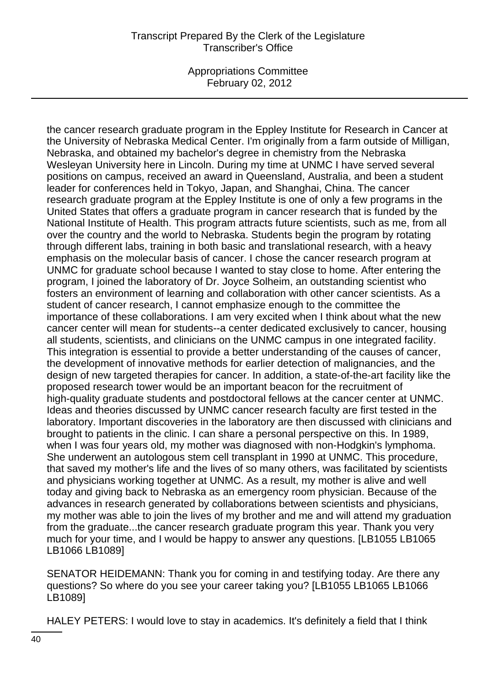Appropriations Committee February 02, 2012

the cancer research graduate program in the Eppley Institute for Research in Cancer at the University of Nebraska Medical Center. I'm originally from a farm outside of Milligan, Nebraska, and obtained my bachelor's degree in chemistry from the Nebraska Wesleyan University here in Lincoln. During my time at UNMC I have served several positions on campus, received an award in Queensland, Australia, and been a student leader for conferences held in Tokyo, Japan, and Shanghai, China. The cancer research graduate program at the Eppley Institute is one of only a few programs in the United States that offers a graduate program in cancer research that is funded by the National Institute of Health. This program attracts future scientists, such as me, from all over the country and the world to Nebraska. Students begin the program by rotating through different labs, training in both basic and translational research, with a heavy emphasis on the molecular basis of cancer. I chose the cancer research program at UNMC for graduate school because I wanted to stay close to home. After entering the program, I joined the laboratory of Dr. Joyce Solheim, an outstanding scientist who fosters an environment of learning and collaboration with other cancer scientists. As a student of cancer research, I cannot emphasize enough to the committee the importance of these collaborations. I am very excited when I think about what the new cancer center will mean for students--a center dedicated exclusively to cancer, housing all students, scientists, and clinicians on the UNMC campus in one integrated facility. This integration is essential to provide a better understanding of the causes of cancer, the development of innovative methods for earlier detection of malignancies, and the design of new targeted therapies for cancer. In addition, a state-of-the-art facility like the proposed research tower would be an important beacon for the recruitment of high-quality graduate students and postdoctoral fellows at the cancer center at UNMC. Ideas and theories discussed by UNMC cancer research faculty are first tested in the laboratory. Important discoveries in the laboratory are then discussed with clinicians and brought to patients in the clinic. I can share a personal perspective on this. In 1989, when I was four years old, my mother was diagnosed with non-Hodgkin's lymphoma. She underwent an autologous stem cell transplant in 1990 at UNMC. This procedure, that saved my mother's life and the lives of so many others, was facilitated by scientists and physicians working together at UNMC. As a result, my mother is alive and well today and giving back to Nebraska as an emergency room physician. Because of the advances in research generated by collaborations between scientists and physicians, my mother was able to join the lives of my brother and me and will attend my graduation from the graduate...the cancer research graduate program this year. Thank you very much for your time, and I would be happy to answer any questions. [LB1055 LB1065 LB1066 LB1089]

SENATOR HEIDEMANN: Thank you for coming in and testifying today. Are there any questions? So where do you see your career taking you? [LB1055 LB1065 LB1066 LB1089]

HALEY PETERS: I would love to stay in academics. It's definitely a field that I think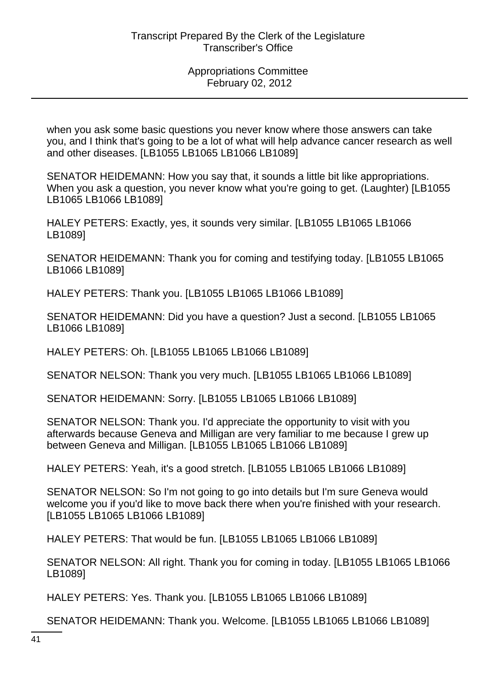when you ask some basic questions you never know where those answers can take you, and I think that's going to be a lot of what will help advance cancer research as well and other diseases. [LB1055 LB1065 LB1066 LB1089]

SENATOR HEIDEMANN: How you say that, it sounds a little bit like appropriations. When you ask a question, you never know what you're going to get. (Laughter) [LB1055 LB1065 LB1066 LB1089]

HALEY PETERS: Exactly, yes, it sounds very similar. [LB1055 LB1065 LB1066 LB1089]

SENATOR HEIDEMANN: Thank you for coming and testifying today. [LB1055 LB1065 LB1066 LB1089]

HALEY PETERS: Thank you. [LB1055 LB1065 LB1066 LB1089]

SENATOR HEIDEMANN: Did you have a question? Just a second. [LB1055 LB1065 LB1066 LB1089]

HALEY PETERS: Oh. [LB1055 LB1065 LB1066 LB1089]

SENATOR NELSON: Thank you very much. [LB1055 LB1065 LB1066 LB1089]

SENATOR HEIDEMANN: Sorry. [LB1055 LB1065 LB1066 LB1089]

SENATOR NELSON: Thank you. I'd appreciate the opportunity to visit with you afterwards because Geneva and Milligan are very familiar to me because I grew up between Geneva and Milligan. [LB1055 LB1065 LB1066 LB1089]

HALEY PETERS: Yeah, it's a good stretch. [LB1055 LB1065 LB1066 LB1089]

SENATOR NELSON: So I'm not going to go into details but I'm sure Geneva would welcome you if you'd like to move back there when you're finished with your research. [LB1055 LB1065 LB1066 LB1089]

HALEY PETERS: That would be fun. [LB1055 LB1065 LB1066 LB1089]

SENATOR NELSON: All right. Thank you for coming in today. [LB1055 LB1065 LB1066 LB1089]

HALEY PETERS: Yes. Thank you. [LB1055 LB1065 LB1066 LB1089]

SENATOR HEIDEMANN: Thank you. Welcome. [LB1055 LB1065 LB1066 LB1089]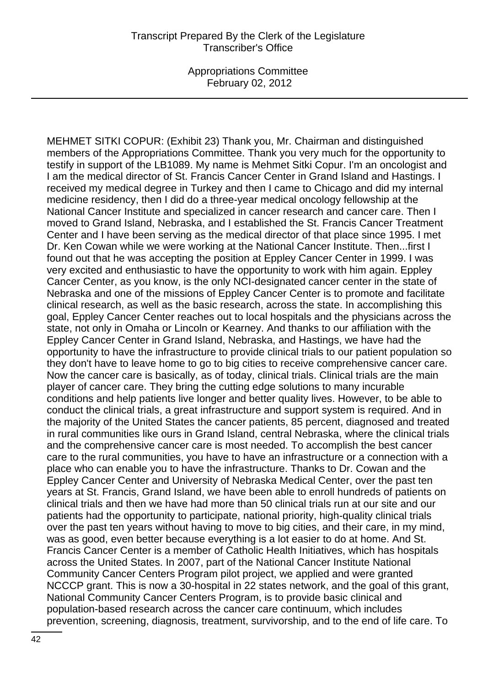MEHMET SITKI COPUR: (Exhibit 23) Thank you, Mr. Chairman and distinguished members of the Appropriations Committee. Thank you very much for the opportunity to testify in support of the LB1089. My name is Mehmet Sitki Copur. I'm an oncologist and I am the medical director of St. Francis Cancer Center in Grand Island and Hastings. I received my medical degree in Turkey and then I came to Chicago and did my internal medicine residency, then I did do a three-year medical oncology fellowship at the National Cancer Institute and specialized in cancer research and cancer care. Then I moved to Grand Island, Nebraska, and I established the St. Francis Cancer Treatment Center and I have been serving as the medical director of that place since 1995. I met Dr. Ken Cowan while we were working at the National Cancer Institute. Then...first I found out that he was accepting the position at Eppley Cancer Center in 1999. I was very excited and enthusiastic to have the opportunity to work with him again. Eppley Cancer Center, as you know, is the only NCI-designated cancer center in the state of Nebraska and one of the missions of Eppley Cancer Center is to promote and facilitate clinical research, as well as the basic research, across the state. In accomplishing this goal, Eppley Cancer Center reaches out to local hospitals and the physicians across the state, not only in Omaha or Lincoln or Kearney. And thanks to our affiliation with the Eppley Cancer Center in Grand Island, Nebraska, and Hastings, we have had the opportunity to have the infrastructure to provide clinical trials to our patient population so they don't have to leave home to go to big cities to receive comprehensive cancer care. Now the cancer care is basically, as of today, clinical trials. Clinical trials are the main player of cancer care. They bring the cutting edge solutions to many incurable conditions and help patients live longer and better quality lives. However, to be able to conduct the clinical trials, a great infrastructure and support system is required. And in the majority of the United States the cancer patients, 85 percent, diagnosed and treated in rural communities like ours in Grand Island, central Nebraska, where the clinical trials and the comprehensive cancer care is most needed. To accomplish the best cancer care to the rural communities, you have to have an infrastructure or a connection with a place who can enable you to have the infrastructure. Thanks to Dr. Cowan and the Eppley Cancer Center and University of Nebraska Medical Center, over the past ten years at St. Francis, Grand Island, we have been able to enroll hundreds of patients on clinical trials and then we have had more than 50 clinical trials run at our site and our patients had the opportunity to participate, national priority, high-quality clinical trials over the past ten years without having to move to big cities, and their care, in my mind, was as good, even better because everything is a lot easier to do at home. And St. Francis Cancer Center is a member of Catholic Health Initiatives, which has hospitals across the United States. In 2007, part of the National Cancer Institute National Community Cancer Centers Program pilot project, we applied and were granted NCCCP grant. This is now a 30-hospital in 22 states network, and the goal of this grant, National Community Cancer Centers Program, is to provide basic clinical and population-based research across the cancer care continuum, which includes prevention, screening, diagnosis, treatment, survivorship, and to the end of life care. To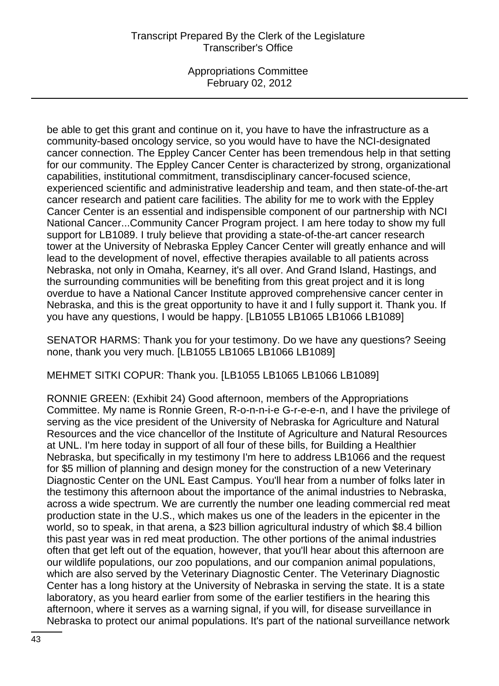Appropriations Committee February 02, 2012

be able to get this grant and continue on it, you have to have the infrastructure as a community-based oncology service, so you would have to have the NCI-designated cancer connection. The Eppley Cancer Center has been tremendous help in that setting for our community. The Eppley Cancer Center is characterized by strong, organizational capabilities, institutional commitment, transdisciplinary cancer-focused science, experienced scientific and administrative leadership and team, and then state-of-the-art cancer research and patient care facilities. The ability for me to work with the Eppley Cancer Center is an essential and indispensible component of our partnership with NCI National Cancer...Community Cancer Program project. I am here today to show my full support for LB1089. I truly believe that providing a state-of-the-art cancer research tower at the University of Nebraska Eppley Cancer Center will greatly enhance and will lead to the development of novel, effective therapies available to all patients across Nebraska, not only in Omaha, Kearney, it's all over. And Grand Island, Hastings, and the surrounding communities will be benefiting from this great project and it is long overdue to have a National Cancer Institute approved comprehensive cancer center in Nebraska, and this is the great opportunity to have it and I fully support it. Thank you. If you have any questions, I would be happy. [LB1055 LB1065 LB1066 LB1089]

SENATOR HARMS: Thank you for your testimony. Do we have any questions? Seeing none, thank you very much. [LB1055 LB1065 LB1066 LB1089]

MEHMET SITKI COPUR: Thank you. [LB1055 LB1065 LB1066 LB1089]

RONNIE GREEN: (Exhibit 24) Good afternoon, members of the Appropriations Committee. My name is Ronnie Green, R-o-n-n-i-e G-r-e-e-n, and I have the privilege of serving as the vice president of the University of Nebraska for Agriculture and Natural Resources and the vice chancellor of the Institute of Agriculture and Natural Resources at UNL. I'm here today in support of all four of these bills, for Building a Healthier Nebraska, but specifically in my testimony I'm here to address LB1066 and the request for \$5 million of planning and design money for the construction of a new Veterinary Diagnostic Center on the UNL East Campus. You'll hear from a number of folks later in the testimony this afternoon about the importance of the animal industries to Nebraska, across a wide spectrum. We are currently the number one leading commercial red meat production state in the U.S., which makes us one of the leaders in the epicenter in the world, so to speak, in that arena, a \$23 billion agricultural industry of which \$8.4 billion this past year was in red meat production. The other portions of the animal industries often that get left out of the equation, however, that you'll hear about this afternoon are our wildlife populations, our zoo populations, and our companion animal populations, which are also served by the Veterinary Diagnostic Center. The Veterinary Diagnostic Center has a long history at the University of Nebraska in serving the state. It is a state laboratory, as you heard earlier from some of the earlier testifiers in the hearing this afternoon, where it serves as a warning signal, if you will, for disease surveillance in Nebraska to protect our animal populations. It's part of the national surveillance network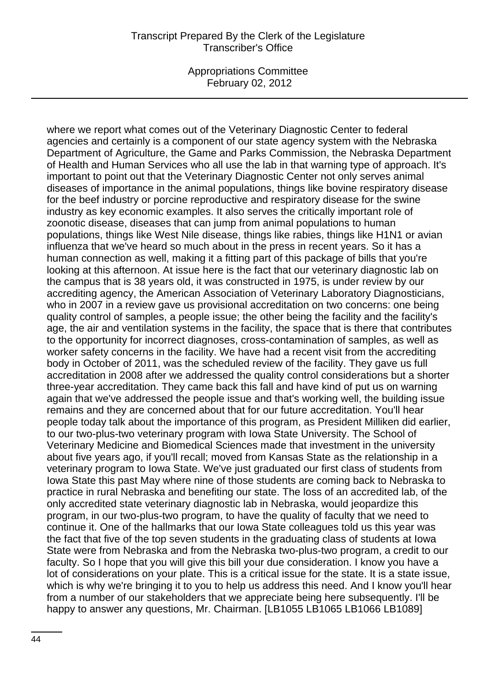Appropriations Committee February 02, 2012

where we report what comes out of the Veterinary Diagnostic Center to federal agencies and certainly is a component of our state agency system with the Nebraska Department of Agriculture, the Game and Parks Commission, the Nebraska Department of Health and Human Services who all use the lab in that warning type of approach. It's important to point out that the Veterinary Diagnostic Center not only serves animal diseases of importance in the animal populations, things like bovine respiratory disease for the beef industry or porcine reproductive and respiratory disease for the swine industry as key economic examples. It also serves the critically important role of zoonotic disease, diseases that can jump from animal populations to human populations, things like West Nile disease, things like rabies, things like H1N1 or avian influenza that we've heard so much about in the press in recent years. So it has a human connection as well, making it a fitting part of this package of bills that you're looking at this afternoon. At issue here is the fact that our veterinary diagnostic lab on the campus that is 38 years old, it was constructed in 1975, is under review by our accrediting agency, the American Association of Veterinary Laboratory Diagnosticians, who in 2007 in a review gave us provisional accreditation on two concerns: one being quality control of samples, a people issue; the other being the facility and the facility's age, the air and ventilation systems in the facility, the space that is there that contributes to the opportunity for incorrect diagnoses, cross-contamination of samples, as well as worker safety concerns in the facility. We have had a recent visit from the accrediting body in October of 2011, was the scheduled review of the facility. They gave us full accreditation in 2008 after we addressed the quality control considerations but a shorter three-year accreditation. They came back this fall and have kind of put us on warning again that we've addressed the people issue and that's working well, the building issue remains and they are concerned about that for our future accreditation. You'll hear people today talk about the importance of this program, as President Milliken did earlier, to our two-plus-two veterinary program with Iowa State University. The School of Veterinary Medicine and Biomedical Sciences made that investment in the university about five years ago, if you'll recall; moved from Kansas State as the relationship in a veterinary program to Iowa State. We've just graduated our first class of students from Iowa State this past May where nine of those students are coming back to Nebraska to practice in rural Nebraska and benefiting our state. The loss of an accredited lab, of the only accredited state veterinary diagnostic lab in Nebraska, would jeopardize this program, in our two-plus-two program, to have the quality of faculty that we need to continue it. One of the hallmarks that our Iowa State colleagues told us this year was the fact that five of the top seven students in the graduating class of students at Iowa State were from Nebraska and from the Nebraska two-plus-two program, a credit to our faculty. So I hope that you will give this bill your due consideration. I know you have a lot of considerations on your plate. This is a critical issue for the state. It is a state issue, which is why we're bringing it to you to help us address this need. And I know you'll hear from a number of our stakeholders that we appreciate being here subsequently. I'll be happy to answer any questions, Mr. Chairman. [LB1055 LB1065 LB1066 LB1089]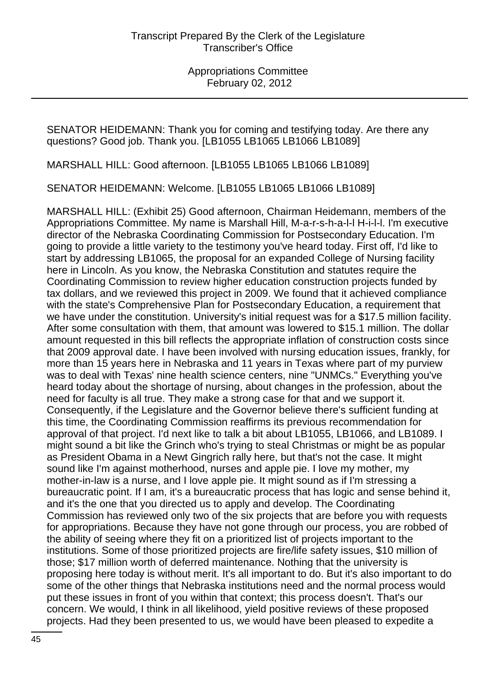SENATOR HEIDEMANN: Thank you for coming and testifying today. Are there any questions? Good job. Thank you. [LB1055 LB1065 LB1066 LB1089]

MARSHALL HILL: Good afternoon. [LB1055 LB1065 LB1066 LB1089]

SENATOR HEIDEMANN: Welcome. [LB1055 LB1065 LB1066 LB1089]

MARSHALL HILL: (Exhibit 25) Good afternoon, Chairman Heidemann, members of the Appropriations Committee. My name is Marshall Hill, M-a-r-s-h-a-l-l H-i-l-l. I'm executive director of the Nebraska Coordinating Commission for Postsecondary Education. I'm going to provide a little variety to the testimony you've heard today. First off, I'd like to start by addressing LB1065, the proposal for an expanded College of Nursing facility here in Lincoln. As you know, the Nebraska Constitution and statutes require the Coordinating Commission to review higher education construction projects funded by tax dollars, and we reviewed this project in 2009. We found that it achieved compliance with the state's Comprehensive Plan for Postsecondary Education, a requirement that we have under the constitution. University's initial request was for a \$17.5 million facility. After some consultation with them, that amount was lowered to \$15.1 million. The dollar amount requested in this bill reflects the appropriate inflation of construction costs since that 2009 approval date. I have been involved with nursing education issues, frankly, for more than 15 years here in Nebraska and 11 years in Texas where part of my purview was to deal with Texas' nine health science centers, nine "UNMCs." Everything you've heard today about the shortage of nursing, about changes in the profession, about the need for faculty is all true. They make a strong case for that and we support it. Consequently, if the Legislature and the Governor believe there's sufficient funding at this time, the Coordinating Commission reaffirms its previous recommendation for approval of that project. I'd next like to talk a bit about LB1055, LB1066, and LB1089. I might sound a bit like the Grinch who's trying to steal Christmas or might be as popular as President Obama in a Newt Gingrich rally here, but that's not the case. It might sound like I'm against motherhood, nurses and apple pie. I love my mother, my mother-in-law is a nurse, and I love apple pie. It might sound as if I'm stressing a bureaucratic point. If I am, it's a bureaucratic process that has logic and sense behind it, and it's the one that you directed us to apply and develop. The Coordinating Commission has reviewed only two of the six projects that are before you with requests for appropriations. Because they have not gone through our process, you are robbed of the ability of seeing where they fit on a prioritized list of projects important to the institutions. Some of those prioritized projects are fire/life safety issues, \$10 million of those; \$17 million worth of deferred maintenance. Nothing that the university is proposing here today is without merit. It's all important to do. But it's also important to do some of the other things that Nebraska institutions need and the normal process would put these issues in front of you within that context; this process doesn't. That's our concern. We would, I think in all likelihood, yield positive reviews of these proposed projects. Had they been presented to us, we would have been pleased to expedite a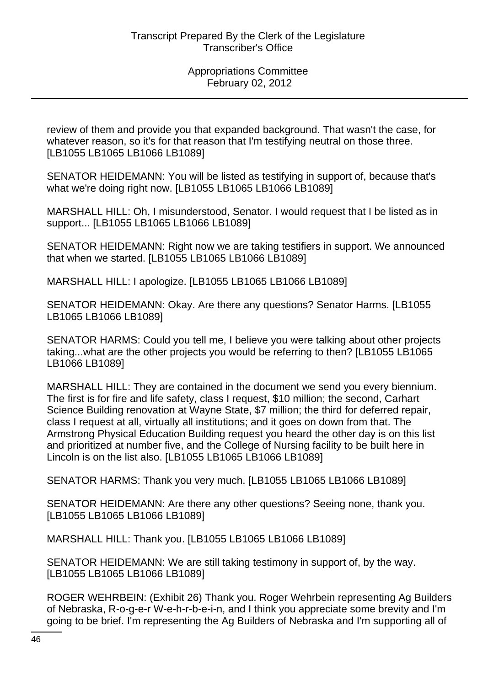review of them and provide you that expanded background. That wasn't the case, for whatever reason, so it's for that reason that I'm testifying neutral on those three. [LB1055 LB1065 LB1066 LB1089]

SENATOR HEIDEMANN: You will be listed as testifying in support of, because that's what we're doing right now. [LB1055 LB1065 LB1066 LB1089]

MARSHALL HILL: Oh, I misunderstood, Senator. I would request that I be listed as in support... [LB1055 LB1065 LB1066 LB1089]

SENATOR HEIDEMANN: Right now we are taking testifiers in support. We announced that when we started. [LB1055 LB1065 LB1066 LB1089]

MARSHALL HILL: I apologize. [LB1055 LB1065 LB1066 LB1089]

SENATOR HEIDEMANN: Okay. Are there any questions? Senator Harms. [LB1055 LB1065 LB1066 LB1089]

SENATOR HARMS: Could you tell me, I believe you were talking about other projects taking...what are the other projects you would be referring to then? [LB1055 LB1065 LB1066 LB1089]

MARSHALL HILL: They are contained in the document we send you every biennium. The first is for fire and life safety, class I request, \$10 million; the second, Carhart Science Building renovation at Wayne State, \$7 million; the third for deferred repair, class I request at all, virtually all institutions; and it goes on down from that. The Armstrong Physical Education Building request you heard the other day is on this list and prioritized at number five, and the College of Nursing facility to be built here in Lincoln is on the list also. [LB1055 LB1065 LB1066 LB1089]

SENATOR HARMS: Thank you very much. [LB1055 LB1065 LB1066 LB1089]

SENATOR HEIDEMANN: Are there any other questions? Seeing none, thank you. [LB1055 LB1065 LB1066 LB1089]

MARSHALL HILL: Thank you. [LB1055 LB1065 LB1066 LB1089]

SENATOR HEIDEMANN: We are still taking testimony in support of, by the way. [LB1055 LB1065 LB1066 LB1089]

ROGER WEHRBEIN: (Exhibit 26) Thank you. Roger Wehrbein representing Ag Builders of Nebraska, R-o-g-e-r W-e-h-r-b-e-i-n, and I think you appreciate some brevity and I'm going to be brief. I'm representing the Ag Builders of Nebraska and I'm supporting all of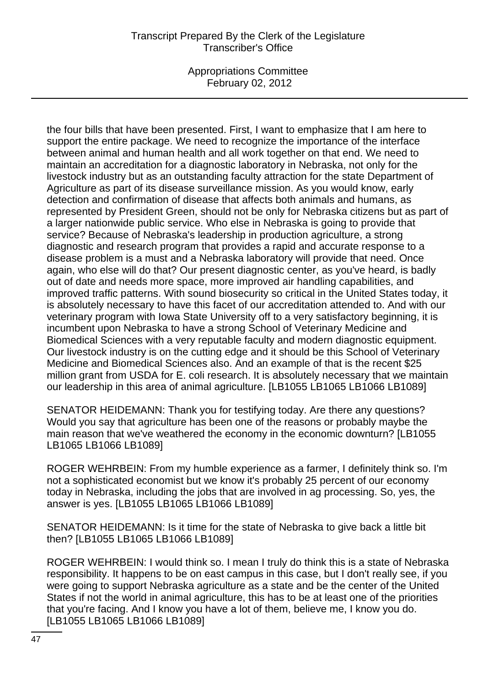Appropriations Committee February 02, 2012

the four bills that have been presented. First, I want to emphasize that I am here to support the entire package. We need to recognize the importance of the interface between animal and human health and all work together on that end. We need to maintain an accreditation for a diagnostic laboratory in Nebraska, not only for the livestock industry but as an outstanding faculty attraction for the state Department of Agriculture as part of its disease surveillance mission. As you would know, early detection and confirmation of disease that affects both animals and humans, as represented by President Green, should not be only for Nebraska citizens but as part of a larger nationwide public service. Who else in Nebraska is going to provide that service? Because of Nebraska's leadership in production agriculture, a strong diagnostic and research program that provides a rapid and accurate response to a disease problem is a must and a Nebraska laboratory will provide that need. Once again, who else will do that? Our present diagnostic center, as you've heard, is badly out of date and needs more space, more improved air handling capabilities, and improved traffic patterns. With sound biosecurity so critical in the United States today, it is absolutely necessary to have this facet of our accreditation attended to. And with our veterinary program with Iowa State University off to a very satisfactory beginning, it is incumbent upon Nebraska to have a strong School of Veterinary Medicine and Biomedical Sciences with a very reputable faculty and modern diagnostic equipment. Our livestock industry is on the cutting edge and it should be this School of Veterinary Medicine and Biomedical Sciences also. And an example of that is the recent \$25 million grant from USDA for E. coli research. It is absolutely necessary that we maintain our leadership in this area of animal agriculture. [LB1055 LB1065 LB1066 LB1089]

SENATOR HEIDEMANN: Thank you for testifying today. Are there any questions? Would you say that agriculture has been one of the reasons or probably maybe the main reason that we've weathered the economy in the economic downturn? [LB1055 LB1065 LB1066 LB1089]

ROGER WEHRBEIN: From my humble experience as a farmer, I definitely think so. I'm not a sophisticated economist but we know it's probably 25 percent of our economy today in Nebraska, including the jobs that are involved in ag processing. So, yes, the answer is yes. [LB1055 LB1065 LB1066 LB1089]

SENATOR HEIDEMANN: Is it time for the state of Nebraska to give back a little bit then? [LB1055 LB1065 LB1066 LB1089]

ROGER WEHRBEIN: I would think so. I mean I truly do think this is a state of Nebraska responsibility. It happens to be on east campus in this case, but I don't really see, if you were going to support Nebraska agriculture as a state and be the center of the United States if not the world in animal agriculture, this has to be at least one of the priorities that you're facing. And I know you have a lot of them, believe me, I know you do. [LB1055 LB1065 LB1066 LB1089]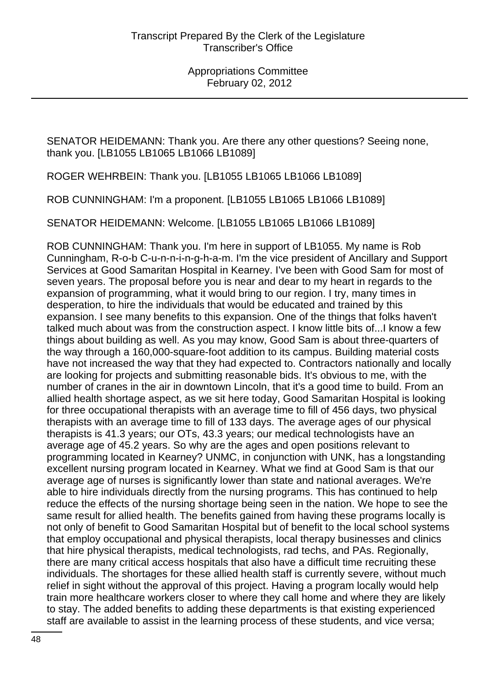SENATOR HEIDEMANN: Thank you. Are there any other questions? Seeing none, thank you. [LB1055 LB1065 LB1066 LB1089]

ROGER WEHRBEIN: Thank you. [LB1055 LB1065 LB1066 LB1089]

ROB CUNNINGHAM: I'm a proponent. [LB1055 LB1065 LB1066 LB1089]

SENATOR HEIDEMANN: Welcome. [LB1055 LB1065 LB1066 LB1089]

ROB CUNNINGHAM: Thank you. I'm here in support of LB1055. My name is Rob Cunningham, R-o-b C-u-n-n-i-n-g-h-a-m. I'm the vice president of Ancillary and Support Services at Good Samaritan Hospital in Kearney. I've been with Good Sam for most of seven years. The proposal before you is near and dear to my heart in regards to the expansion of programming, what it would bring to our region. I try, many times in desperation, to hire the individuals that would be educated and trained by this expansion. I see many benefits to this expansion. One of the things that folks haven't talked much about was from the construction aspect. I know little bits of...I know a few things about building as well. As you may know, Good Sam is about three-quarters of the way through a 160,000-square-foot addition to its campus. Building material costs have not increased the way that they had expected to. Contractors nationally and locally are looking for projects and submitting reasonable bids. It's obvious to me, with the number of cranes in the air in downtown Lincoln, that it's a good time to build. From an allied health shortage aspect, as we sit here today, Good Samaritan Hospital is looking for three occupational therapists with an average time to fill of 456 days, two physical therapists with an average time to fill of 133 days. The average ages of our physical therapists is 41.3 years; our OTs, 43.3 years; our medical technologists have an average age of 45.2 years. So why are the ages and open positions relevant to programming located in Kearney? UNMC, in conjunction with UNK, has a longstanding excellent nursing program located in Kearney. What we find at Good Sam is that our average age of nurses is significantly lower than state and national averages. We're able to hire individuals directly from the nursing programs. This has continued to help reduce the effects of the nursing shortage being seen in the nation. We hope to see the same result for allied health. The benefits gained from having these programs locally is not only of benefit to Good Samaritan Hospital but of benefit to the local school systems that employ occupational and physical therapists, local therapy businesses and clinics that hire physical therapists, medical technologists, rad techs, and PAs. Regionally, there are many critical access hospitals that also have a difficult time recruiting these individuals. The shortages for these allied health staff is currently severe, without much relief in sight without the approval of this project. Having a program locally would help train more healthcare workers closer to where they call home and where they are likely to stay. The added benefits to adding these departments is that existing experienced staff are available to assist in the learning process of these students, and vice versa;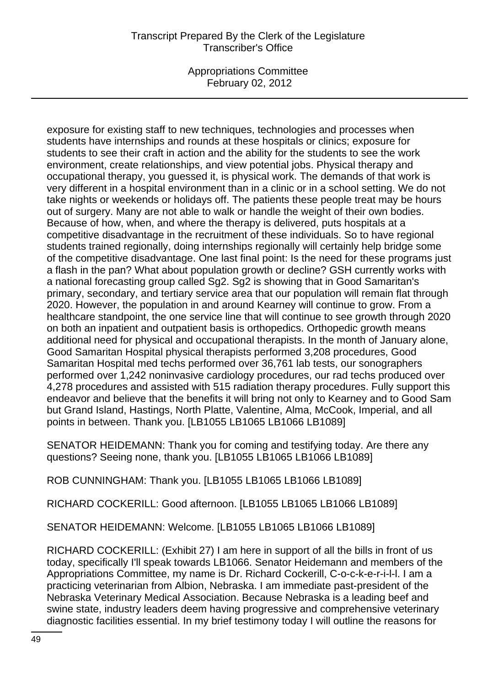Appropriations Committee February 02, 2012

exposure for existing staff to new techniques, technologies and processes when students have internships and rounds at these hospitals or clinics; exposure for students to see their craft in action and the ability for the students to see the work environment, create relationships, and view potential jobs. Physical therapy and occupational therapy, you guessed it, is physical work. The demands of that work is very different in a hospital environment than in a clinic or in a school setting. We do not take nights or weekends or holidays off. The patients these people treat may be hours out of surgery. Many are not able to walk or handle the weight of their own bodies. Because of how, when, and where the therapy is delivered, puts hospitals at a competitive disadvantage in the recruitment of these individuals. So to have regional students trained regionally, doing internships regionally will certainly help bridge some of the competitive disadvantage. One last final point: Is the need for these programs just a flash in the pan? What about population growth or decline? GSH currently works with a national forecasting group called Sg2. Sg2 is showing that in Good Samaritan's primary, secondary, and tertiary service area that our population will remain flat through 2020. However, the population in and around Kearney will continue to grow. From a healthcare standpoint, the one service line that will continue to see growth through 2020 on both an inpatient and outpatient basis is orthopedics. Orthopedic growth means additional need for physical and occupational therapists. In the month of January alone, Good Samaritan Hospital physical therapists performed 3,208 procedures, Good Samaritan Hospital med techs performed over 36,761 lab tests, our sonographers performed over 1,242 noninvasive cardiology procedures, our rad techs produced over 4,278 procedures and assisted with 515 radiation therapy procedures. Fully support this endeavor and believe that the benefits it will bring not only to Kearney and to Good Sam but Grand Island, Hastings, North Platte, Valentine, Alma, McCook, Imperial, and all points in between. Thank you. [LB1055 LB1065 LB1066 LB1089]

SENATOR HEIDEMANN: Thank you for coming and testifying today. Are there any questions? Seeing none, thank you. [LB1055 LB1065 LB1066 LB1089]

ROB CUNNINGHAM: Thank you. [LB1055 LB1065 LB1066 LB1089]

RICHARD COCKERILL: Good afternoon. [LB1055 LB1065 LB1066 LB1089]

SENATOR HEIDEMANN: Welcome. [LB1055 LB1065 LB1066 LB1089]

RICHARD COCKERILL: (Exhibit 27) I am here in support of all the bills in front of us today, specifically I'll speak towards LB1066. Senator Heidemann and members of the Appropriations Committee, my name is Dr. Richard Cockerill, C-o-c-k-e-r-i-l-l. I am a practicing veterinarian from Albion, Nebraska. I am immediate past-president of the Nebraska Veterinary Medical Association. Because Nebraska is a leading beef and swine state, industry leaders deem having progressive and comprehensive veterinary diagnostic facilities essential. In my brief testimony today I will outline the reasons for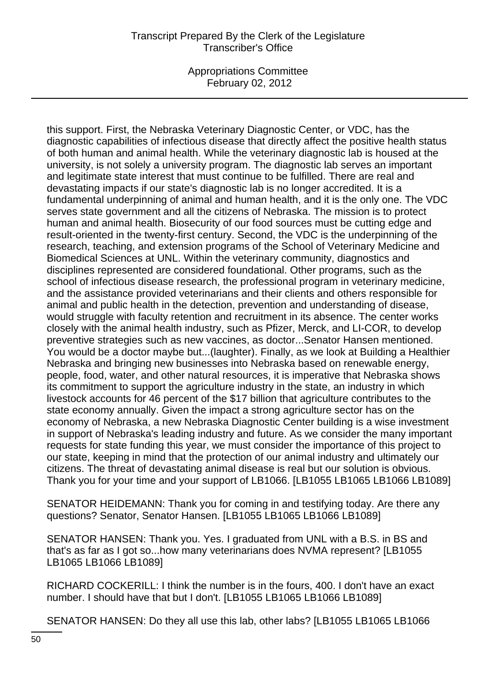Appropriations Committee February 02, 2012

this support. First, the Nebraska Veterinary Diagnostic Center, or VDC, has the diagnostic capabilities of infectious disease that directly affect the positive health status of both human and animal health. While the veterinary diagnostic lab is housed at the university, is not solely a university program. The diagnostic lab serves an important and legitimate state interest that must continue to be fulfilled. There are real and devastating impacts if our state's diagnostic lab is no longer accredited. It is a fundamental underpinning of animal and human health, and it is the only one. The VDC serves state government and all the citizens of Nebraska. The mission is to protect human and animal health. Biosecurity of our food sources must be cutting edge and result-oriented in the twenty-first century. Second, the VDC is the underpinning of the research, teaching, and extension programs of the School of Veterinary Medicine and Biomedical Sciences at UNL. Within the veterinary community, diagnostics and disciplines represented are considered foundational. Other programs, such as the school of infectious disease research, the professional program in veterinary medicine, and the assistance provided veterinarians and their clients and others responsible for animal and public health in the detection, prevention and understanding of disease, would struggle with faculty retention and recruitment in its absence. The center works closely with the animal health industry, such as Pfizer, Merck, and LI-COR, to develop preventive strategies such as new vaccines, as doctor...Senator Hansen mentioned. You would be a doctor maybe but...(laughter). Finally, as we look at Building a Healthier Nebraska and bringing new businesses into Nebraska based on renewable energy, people, food, water, and other natural resources, it is imperative that Nebraska shows its commitment to support the agriculture industry in the state, an industry in which livestock accounts for 46 percent of the \$17 billion that agriculture contributes to the state economy annually. Given the impact a strong agriculture sector has on the economy of Nebraska, a new Nebraska Diagnostic Center building is a wise investment in support of Nebraska's leading industry and future. As we consider the many important requests for state funding this year, we must consider the importance of this project to our state, keeping in mind that the protection of our animal industry and ultimately our citizens. The threat of devastating animal disease is real but our solution is obvious. Thank you for your time and your support of LB1066. [LB1055 LB1065 LB1066 LB1089]

SENATOR HEIDEMANN: Thank you for coming in and testifying today. Are there any questions? Senator, Senator Hansen. [LB1055 LB1065 LB1066 LB1089]

SENATOR HANSEN: Thank you. Yes. I graduated from UNL with a B.S. in BS and that's as far as I got so...how many veterinarians does NVMA represent? [LB1055 LB1065 LB1066 LB1089]

RICHARD COCKERILL: I think the number is in the fours, 400. I don't have an exact number. I should have that but I don't. [LB1055 LB1065 LB1066 LB1089]

SENATOR HANSEN: Do they all use this lab, other labs? [LB1055 LB1065 LB1066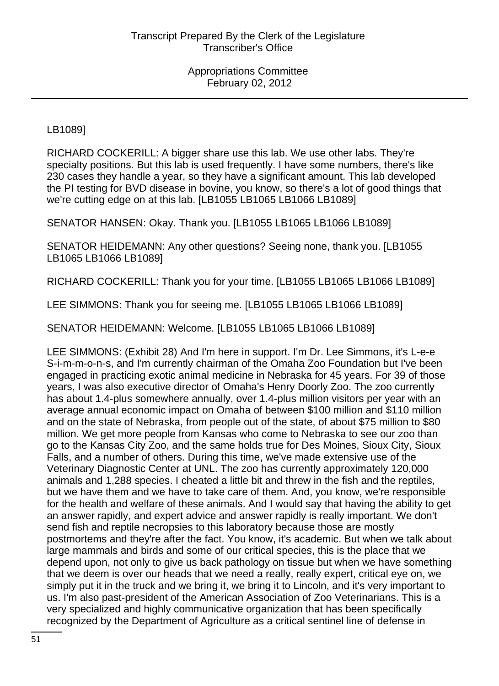# LB1089]

RICHARD COCKERILL: A bigger share use this lab. We use other labs. They're specialty positions. But this lab is used frequently. I have some numbers, there's like 230 cases they handle a year, so they have a significant amount. This lab developed the PI testing for BVD disease in bovine, you know, so there's a lot of good things that we're cutting edge on at this lab. [LB1055 LB1065 LB1066 LB1089]

SENATOR HANSEN: Okay. Thank you. [LB1055 LB1065 LB1066 LB1089]

SENATOR HEIDEMANN: Any other questions? Seeing none, thank you. [LB1055 LB1065 LB1066 LB1089]

RICHARD COCKERILL: Thank you for your time. [LB1055 LB1065 LB1066 LB1089]

LEE SIMMONS: Thank you for seeing me. [LB1055 LB1065 LB1066 LB1089]

SENATOR HEIDEMANN: Welcome. [LB1055 LB1065 LB1066 LB1089]

LEE SIMMONS: (Exhibit 28) And I'm here in support. I'm Dr. Lee Simmons, it's L-e-e S-i-m-m-o-n-s, and I'm currently chairman of the Omaha Zoo Foundation but I've been engaged in practicing exotic animal medicine in Nebraska for 45 years. For 39 of those years, I was also executive director of Omaha's Henry Doorly Zoo. The zoo currently has about 1.4-plus somewhere annually, over 1.4-plus million visitors per year with an average annual economic impact on Omaha of between \$100 million and \$110 million and on the state of Nebraska, from people out of the state, of about \$75 million to \$80 million. We get more people from Kansas who come to Nebraska to see our zoo than go to the Kansas City Zoo, and the same holds true for Des Moines, Sioux City, Sioux Falls, and a number of others. During this time, we've made extensive use of the Veterinary Diagnostic Center at UNL. The zoo has currently approximately 120,000 animals and 1,288 species. I cheated a little bit and threw in the fish and the reptiles, but we have them and we have to take care of them. And, you know, we're responsible for the health and welfare of these animals. And I would say that having the ability to get an answer rapidly, and expert advice and answer rapidly is really important. We don't send fish and reptile necropsies to this laboratory because those are mostly postmortems and they're after the fact. You know, it's academic. But when we talk about large mammals and birds and some of our critical species, this is the place that we depend upon, not only to give us back pathology on tissue but when we have something that we deem is over our heads that we need a really, really expert, critical eye on, we simply put it in the truck and we bring it, we bring it to Lincoln, and it's very important to us. I'm also past-president of the American Association of Zoo Veterinarians. This is a very specialized and highly communicative organization that has been specifically recognized by the Department of Agriculture as a critical sentinel line of defense in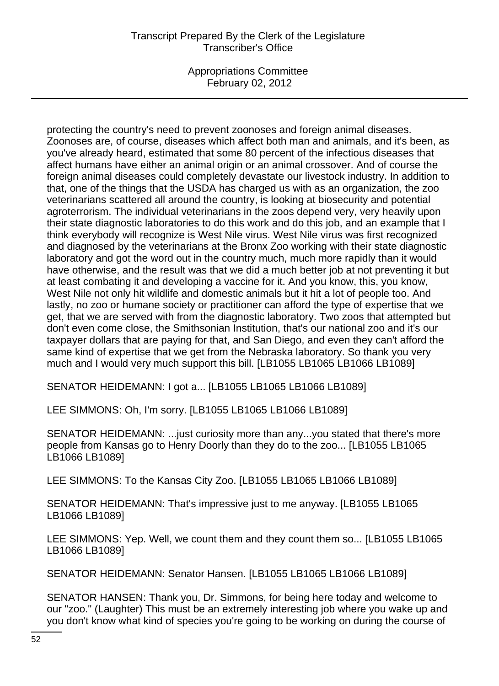Appropriations Committee February 02, 2012

protecting the country's need to prevent zoonoses and foreign animal diseases. Zoonoses are, of course, diseases which affect both man and animals, and it's been, as you've already heard, estimated that some 80 percent of the infectious diseases that affect humans have either an animal origin or an animal crossover. And of course the foreign animal diseases could completely devastate our livestock industry. In addition to that, one of the things that the USDA has charged us with as an organization, the zoo veterinarians scattered all around the country, is looking at biosecurity and potential agroterrorism. The individual veterinarians in the zoos depend very, very heavily upon their state diagnostic laboratories to do this work and do this job, and an example that I think everybody will recognize is West Nile virus. West Nile virus was first recognized and diagnosed by the veterinarians at the Bronx Zoo working with their state diagnostic laboratory and got the word out in the country much, much more rapidly than it would have otherwise, and the result was that we did a much better job at not preventing it but at least combating it and developing a vaccine for it. And you know, this, you know, West Nile not only hit wildlife and domestic animals but it hit a lot of people too. And lastly, no zoo or humane society or practitioner can afford the type of expertise that we get, that we are served with from the diagnostic laboratory. Two zoos that attempted but don't even come close, the Smithsonian Institution, that's our national zoo and it's our taxpayer dollars that are paying for that, and San Diego, and even they can't afford the same kind of expertise that we get from the Nebraska laboratory. So thank you very much and I would very much support this bill. [LB1055 LB1065 LB1066 LB1089]

SENATOR HEIDEMANN: I got a... [LB1055 LB1065 LB1066 LB1089]

LEE SIMMONS: Oh, I'm sorry. [LB1055 LB1065 LB1066 LB1089]

SENATOR HEIDEMANN: ...just curiosity more than any...you stated that there's more people from Kansas go to Henry Doorly than they do to the zoo... [LB1055 LB1065 LB1066 LB1089]

LEE SIMMONS: To the Kansas City Zoo. [LB1055 LB1065 LB1066 LB1089]

SENATOR HEIDEMANN: That's impressive just to me anyway. [LB1055 LB1065 LB1066 LB1089]

LEE SIMMONS: Yep. Well, we count them and they count them so... [LB1055 LB1065 LB1066 LB1089]

SENATOR HEIDEMANN: Senator Hansen. [LB1055 LB1065 LB1066 LB1089]

SENATOR HANSEN: Thank you, Dr. Simmons, for being here today and welcome to our "zoo." (Laughter) This must be an extremely interesting job where you wake up and you don't know what kind of species you're going to be working on during the course of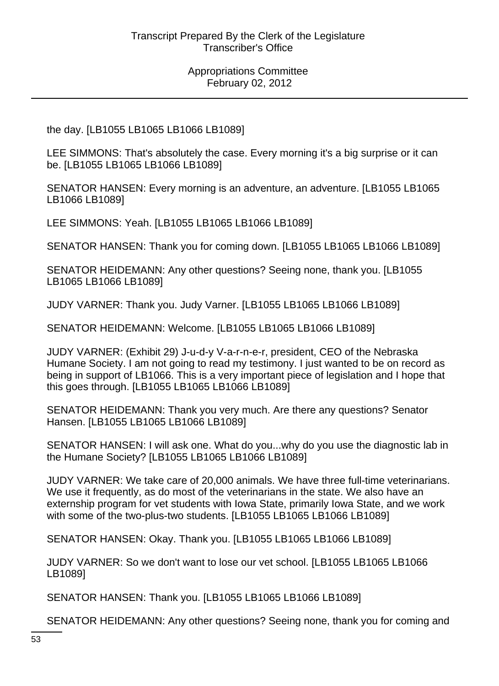the day. [LB1055 LB1065 LB1066 LB1089]

LEE SIMMONS: That's absolutely the case. Every morning it's a big surprise or it can be. [LB1055 LB1065 LB1066 LB1089]

SENATOR HANSEN: Every morning is an adventure, an adventure. [LB1055 LB1065 LB1066 LB1089]

LEE SIMMONS: Yeah. [LB1055 LB1065 LB1066 LB1089]

SENATOR HANSEN: Thank you for coming down. [LB1055 LB1065 LB1066 LB1089]

SENATOR HEIDEMANN: Any other questions? Seeing none, thank you. [LB1055 LB1065 LB1066 LB1089]

JUDY VARNER: Thank you. Judy Varner. [LB1055 LB1065 LB1066 LB1089]

SENATOR HEIDEMANN: Welcome. [LB1055 LB1065 LB1066 LB1089]

JUDY VARNER: (Exhibit 29) J-u-d-y V-a-r-n-e-r, president, CEO of the Nebraska Humane Society. I am not going to read my testimony. I just wanted to be on record as being in support of LB1066. This is a very important piece of legislation and I hope that this goes through. [LB1055 LB1065 LB1066 LB1089]

SENATOR HEIDEMANN: Thank you very much. Are there any questions? Senator Hansen. [LB1055 LB1065 LB1066 LB1089]

SENATOR HANSEN: I will ask one. What do you...why do you use the diagnostic lab in the Humane Society? [LB1055 LB1065 LB1066 LB1089]

JUDY VARNER: We take care of 20,000 animals. We have three full-time veterinarians. We use it frequently, as do most of the veterinarians in the state. We also have an externship program for vet students with Iowa State, primarily Iowa State, and we work with some of the two-plus-two students. [LB1055 LB1065 LB1066 LB1089]

SENATOR HANSEN: Okay. Thank you. [LB1055 LB1065 LB1066 LB1089]

JUDY VARNER: So we don't want to lose our vet school. [LB1055 LB1065 LB1066 LB1089]

SENATOR HANSEN: Thank you. [LB1055 LB1065 LB1066 LB1089]

SENATOR HEIDEMANN: Any other questions? Seeing none, thank you for coming and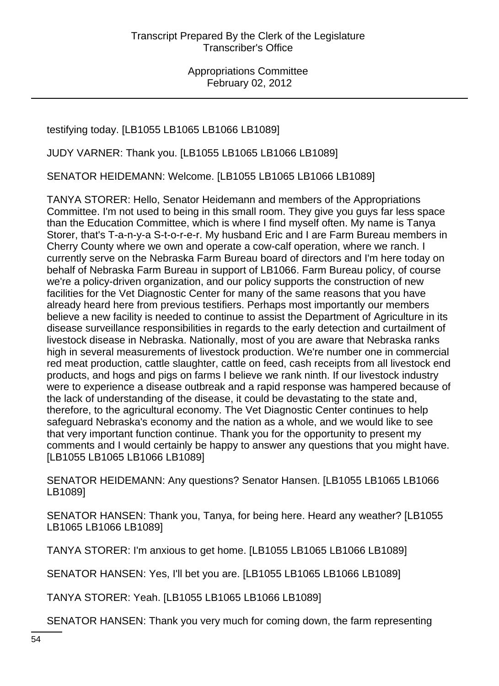testifying today. [LB1055 LB1065 LB1066 LB1089]

JUDY VARNER: Thank you. [LB1055 LB1065 LB1066 LB1089]

SENATOR HEIDEMANN: Welcome. [LB1055 LB1065 LB1066 LB1089]

TANYA STORER: Hello, Senator Heidemann and members of the Appropriations Committee. I'm not used to being in this small room. They give you guys far less space than the Education Committee, which is where I find myself often. My name is Tanya Storer, that's T-a-n-y-a S-t-o-r-e-r. My husband Eric and I are Farm Bureau members in Cherry County where we own and operate a cow-calf operation, where we ranch. I currently serve on the Nebraska Farm Bureau board of directors and I'm here today on behalf of Nebraska Farm Bureau in support of LB1066. Farm Bureau policy, of course we're a policy-driven organization, and our policy supports the construction of new facilities for the Vet Diagnostic Center for many of the same reasons that you have already heard here from previous testifiers. Perhaps most importantly our members believe a new facility is needed to continue to assist the Department of Agriculture in its disease surveillance responsibilities in regards to the early detection and curtailment of livestock disease in Nebraska. Nationally, most of you are aware that Nebraska ranks high in several measurements of livestock production. We're number one in commercial red meat production, cattle slaughter, cattle on feed, cash receipts from all livestock end products, and hogs and pigs on farms I believe we rank ninth. If our livestock industry were to experience a disease outbreak and a rapid response was hampered because of the lack of understanding of the disease, it could be devastating to the state and, therefore, to the agricultural economy. The Vet Diagnostic Center continues to help safeguard Nebraska's economy and the nation as a whole, and we would like to see that very important function continue. Thank you for the opportunity to present my comments and I would certainly be happy to answer any questions that you might have. [LB1055 LB1065 LB1066 LB1089]

SENATOR HEIDEMANN: Any questions? Senator Hansen. [LB1055 LB1065 LB1066 LB1089]

SENATOR HANSEN: Thank you, Tanya, for being here. Heard any weather? [LB1055 LB1065 LB1066 LB1089]

TANYA STORER: I'm anxious to get home. [LB1055 LB1065 LB1066 LB1089]

SENATOR HANSEN: Yes, I'll bet you are. [LB1055 LB1065 LB1066 LB1089]

TANYA STORER: Yeah. [LB1055 LB1065 LB1066 LB1089]

SENATOR HANSEN: Thank you very much for coming down, the farm representing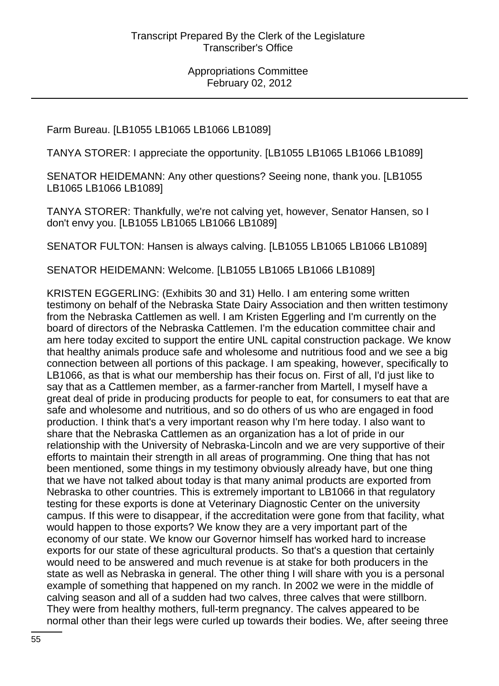Farm Bureau. [LB1055 LB1065 LB1066 LB1089]

TANYA STORER: I appreciate the opportunity. [LB1055 LB1065 LB1066 LB1089]

SENATOR HEIDEMANN: Any other questions? Seeing none, thank you. [LB1055 LB1065 LB1066 LB1089]

TANYA STORER: Thankfully, we're not calving yet, however, Senator Hansen, so I don't envy you. [LB1055 LB1065 LB1066 LB1089]

SENATOR FULTON: Hansen is always calving. [LB1055 LB1065 LB1066 LB1089]

SENATOR HEIDEMANN: Welcome. [LB1055 LB1065 LB1066 LB1089]

KRISTEN EGGERLING: (Exhibits 30 and 31) Hello. I am entering some written testimony on behalf of the Nebraska State Dairy Association and then written testimony from the Nebraska Cattlemen as well. I am Kristen Eggerling and I'm currently on the board of directors of the Nebraska Cattlemen. I'm the education committee chair and am here today excited to support the entire UNL capital construction package. We know that healthy animals produce safe and wholesome and nutritious food and we see a big connection between all portions of this package. I am speaking, however, specifically to LB1066, as that is what our membership has their focus on. First of all, I'd just like to say that as a Cattlemen member, as a farmer-rancher from Martell, I myself have a great deal of pride in producing products for people to eat, for consumers to eat that are safe and wholesome and nutritious, and so do others of us who are engaged in food production. I think that's a very important reason why I'm here today. I also want to share that the Nebraska Cattlemen as an organization has a lot of pride in our relationship with the University of Nebraska-Lincoln and we are very supportive of their efforts to maintain their strength in all areas of programming. One thing that has not been mentioned, some things in my testimony obviously already have, but one thing that we have not talked about today is that many animal products are exported from Nebraska to other countries. This is extremely important to LB1066 in that regulatory testing for these exports is done at Veterinary Diagnostic Center on the university campus. If this were to disappear, if the accreditation were gone from that facility, what would happen to those exports? We know they are a very important part of the economy of our state. We know our Governor himself has worked hard to increase exports for our state of these agricultural products. So that's a question that certainly would need to be answered and much revenue is at stake for both producers in the state as well as Nebraska in general. The other thing I will share with you is a personal example of something that happened on my ranch. In 2002 we were in the middle of calving season and all of a sudden had two calves, three calves that were stillborn. They were from healthy mothers, full-term pregnancy. The calves appeared to be normal other than their legs were curled up towards their bodies. We, after seeing three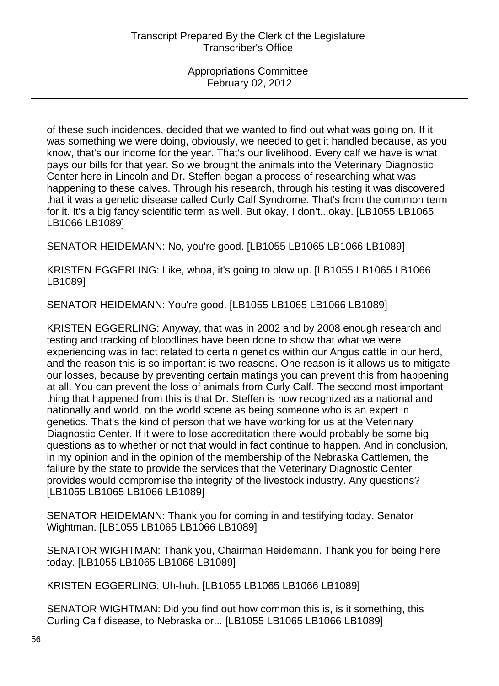of these such incidences, decided that we wanted to find out what was going on. If it was something we were doing, obviously, we needed to get it handled because, as you know, that's our income for the year. That's our livelihood. Every calf we have is what pays our bills for that year. So we brought the animals into the Veterinary Diagnostic Center here in Lincoln and Dr. Steffen began a process of researching what was happening to these calves. Through his research, through his testing it was discovered that it was a genetic disease called Curly Calf Syndrome. That's from the common term for it. It's a big fancy scientific term as well. But okay, I don't...okay. [LB1055 LB1065 LB1066 LB1089]

SENATOR HEIDEMANN: No, you're good. [LB1055 LB1065 LB1066 LB1089]

KRISTEN EGGERLING: Like, whoa, it's going to blow up. [LB1055 LB1065 LB1066 LB1089]

SENATOR HEIDEMANN: You're good. [LB1055 LB1065 LB1066 LB1089]

KRISTEN EGGERLING: Anyway, that was in 2002 and by 2008 enough research and testing and tracking of bloodlines have been done to show that what we were experiencing was in fact related to certain genetics within our Angus cattle in our herd, and the reason this is so important is two reasons. One reason is it allows us to mitigate our losses, because by preventing certain matings you can prevent this from happening at all. You can prevent the loss of animals from Curly Calf. The second most important thing that happened from this is that Dr. Steffen is now recognized as a national and nationally and world, on the world scene as being someone who is an expert in genetics. That's the kind of person that we have working for us at the Veterinary Diagnostic Center. If it were to lose accreditation there would probably be some big questions as to whether or not that would in fact continue to happen. And in conclusion, in my opinion and in the opinion of the membership of the Nebraska Cattlemen, the failure by the state to provide the services that the Veterinary Diagnostic Center provides would compromise the integrity of the livestock industry. Any questions? [LB1055 LB1065 LB1066 LB1089]

SENATOR HEIDEMANN: Thank you for coming in and testifying today. Senator Wightman. [LB1055 LB1065 LB1066 LB1089]

SENATOR WIGHTMAN: Thank you, Chairman Heidemann. Thank you for being here today. [LB1055 LB1065 LB1066 LB1089]

KRISTEN EGGERLING: Uh-huh. [LB1055 LB1065 LB1066 LB1089]

SENATOR WIGHTMAN: Did you find out how common this is, is it something, this Curling Calf disease, to Nebraska or... [LB1055 LB1065 LB1066 LB1089]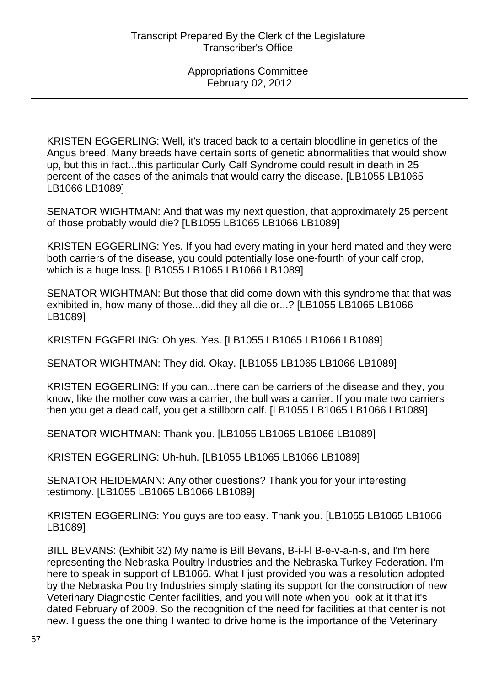KRISTEN EGGERLING: Well, it's traced back to a certain bloodline in genetics of the Angus breed. Many breeds have certain sorts of genetic abnormalities that would show up, but this in fact...this particular Curly Calf Syndrome could result in death in 25 percent of the cases of the animals that would carry the disease. [LB1055 LB1065 LB1066 LB1089]

SENATOR WIGHTMAN: And that was my next question, that approximately 25 percent of those probably would die? [LB1055 LB1065 LB1066 LB1089]

KRISTEN EGGERLING: Yes. If you had every mating in your herd mated and they were both carriers of the disease, you could potentially lose one-fourth of your calf crop, which is a huge loss. [LB1055 LB1065 LB1066 LB1089]

SENATOR WIGHTMAN: But those that did come down with this syndrome that that was exhibited in, how many of those...did they all die or...? [LB1055 LB1065 LB1066 LB1089]

KRISTEN EGGERLING: Oh yes. Yes. [LB1055 LB1065 LB1066 LB1089]

SENATOR WIGHTMAN: They did. Okay. [LB1055 LB1065 LB1066 LB1089]

KRISTEN EGGERLING: If you can...there can be carriers of the disease and they, you know, like the mother cow was a carrier, the bull was a carrier. If you mate two carriers then you get a dead calf, you get a stillborn calf. [LB1055 LB1065 LB1066 LB1089]

SENATOR WIGHTMAN: Thank you. [LB1055 LB1065 LB1066 LB1089]

KRISTEN EGGERLING: Uh-huh. [LB1055 LB1065 LB1066 LB1089]

SENATOR HEIDEMANN: Any other questions? Thank you for your interesting testimony. [LB1055 LB1065 LB1066 LB1089]

KRISTEN EGGERLING: You guys are too easy. Thank you. [LB1055 LB1065 LB1066 LB1089]

BILL BEVANS: (Exhibit 32) My name is Bill Bevans, B-i-l-l B-e-v-a-n-s, and I'm here representing the Nebraska Poultry Industries and the Nebraska Turkey Federation. I'm here to speak in support of LB1066. What I just provided you was a resolution adopted by the Nebraska Poultry Industries simply stating its support for the construction of new Veterinary Diagnostic Center facilities, and you will note when you look at it that it's dated February of 2009. So the recognition of the need for facilities at that center is not new. I guess the one thing I wanted to drive home is the importance of the Veterinary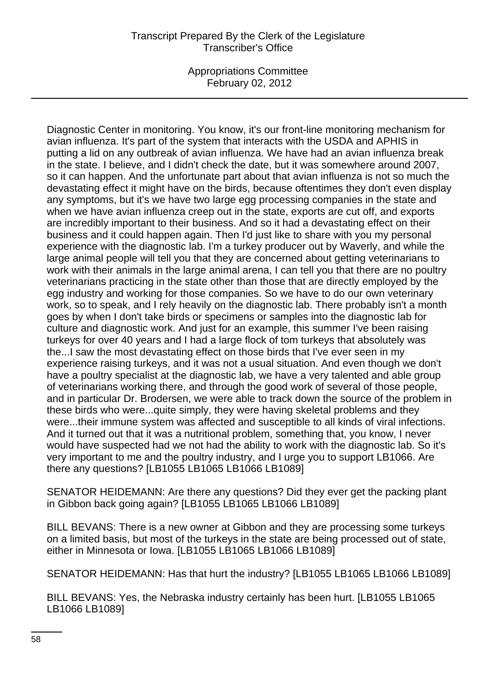Appropriations Committee February 02, 2012

Diagnostic Center in monitoring. You know, it's our front-line monitoring mechanism for avian influenza. It's part of the system that interacts with the USDA and APHIS in putting a lid on any outbreak of avian influenza. We have had an avian influenza break in the state. I believe, and I didn't check the date, but it was somewhere around 2007, so it can happen. And the unfortunate part about that avian influenza is not so much the devastating effect it might have on the birds, because oftentimes they don't even display any symptoms, but it's we have two large egg processing companies in the state and when we have avian influenza creep out in the state, exports are cut off, and exports are incredibly important to their business. And so it had a devastating effect on their business and it could happen again. Then I'd just like to share with you my personal experience with the diagnostic lab. I'm a turkey producer out by Waverly, and while the large animal people will tell you that they are concerned about getting veterinarians to work with their animals in the large animal arena, I can tell you that there are no poultry veterinarians practicing in the state other than those that are directly employed by the egg industry and working for those companies. So we have to do our own veterinary work, so to speak, and I rely heavily on the diagnostic lab. There probably isn't a month goes by when I don't take birds or specimens or samples into the diagnostic lab for culture and diagnostic work. And just for an example, this summer I've been raising turkeys for over 40 years and I had a large flock of tom turkeys that absolutely was the...I saw the most devastating effect on those birds that I've ever seen in my experience raising turkeys, and it was not a usual situation. And even though we don't have a poultry specialist at the diagnostic lab, we have a very talented and able group of veterinarians working there, and through the good work of several of those people, and in particular Dr. Brodersen, we were able to track down the source of the problem in these birds who were...quite simply, they were having skeletal problems and they were...their immune system was affected and susceptible to all kinds of viral infections. And it turned out that it was a nutritional problem, something that, you know, I never would have suspected had we not had the ability to work with the diagnostic lab. So it's very important to me and the poultry industry, and I urge you to support LB1066. Are there any questions? [LB1055 LB1065 LB1066 LB1089]

SENATOR HEIDEMANN: Are there any questions? Did they ever get the packing plant in Gibbon back going again? [LB1055 LB1065 LB1066 LB1089]

BILL BEVANS: There is a new owner at Gibbon and they are processing some turkeys on a limited basis, but most of the turkeys in the state are being processed out of state, either in Minnesota or Iowa. [LB1055 LB1065 LB1066 LB1089]

SENATOR HEIDEMANN: Has that hurt the industry? [LB1055 LB1065 LB1066 LB1089]

BILL BEVANS: Yes, the Nebraska industry certainly has been hurt. [LB1055 LB1065 LB1066 LB1089]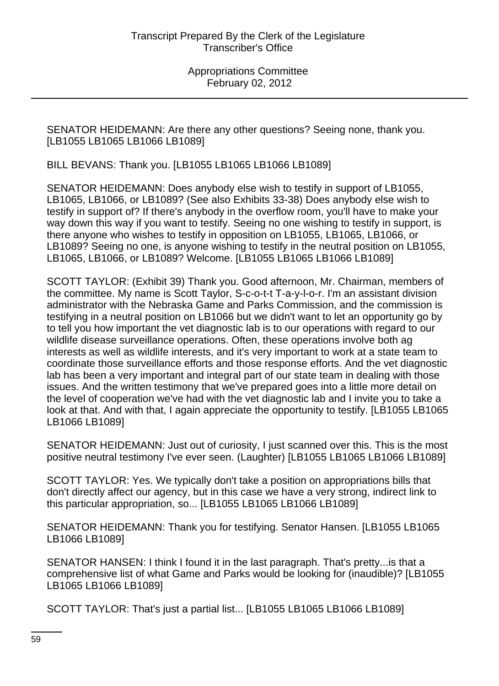SENATOR HEIDEMANN: Are there any other questions? Seeing none, thank you. [LB1055 LB1065 LB1066 LB1089]

BILL BEVANS: Thank you. [LB1055 LB1065 LB1066 LB1089]

SENATOR HEIDEMANN: Does anybody else wish to testify in support of LB1055, LB1065, LB1066, or LB1089? (See also Exhibits 33-38) Does anybody else wish to testify in support of? If there's anybody in the overflow room, you'll have to make your way down this way if you want to testify. Seeing no one wishing to testify in support, is there anyone who wishes to testify in opposition on LB1055, LB1065, LB1066, or LB1089? Seeing no one, is anyone wishing to testify in the neutral position on LB1055, LB1065, LB1066, or LB1089? Welcome. [LB1055 LB1065 LB1066 LB1089]

SCOTT TAYLOR: (Exhibit 39) Thank you. Good afternoon, Mr. Chairman, members of the committee. My name is Scott Taylor, S-c-o-t-t T-a-y-l-o-r. I'm an assistant division administrator with the Nebraska Game and Parks Commission, and the commission is testifying in a neutral position on LB1066 but we didn't want to let an opportunity go by to tell you how important the vet diagnostic lab is to our operations with regard to our wildlife disease surveillance operations. Often, these operations involve both ag interests as well as wildlife interests, and it's very important to work at a state team to coordinate those surveillance efforts and those response efforts. And the vet diagnostic lab has been a very important and integral part of our state team in dealing with those issues. And the written testimony that we've prepared goes into a little more detail on the level of cooperation we've had with the vet diagnostic lab and I invite you to take a look at that. And with that, I again appreciate the opportunity to testify. [LB1055 LB1065 LB1066 LB1089]

SENATOR HEIDEMANN: Just out of curiosity, I just scanned over this. This is the most positive neutral testimony I've ever seen. (Laughter) [LB1055 LB1065 LB1066 LB1089]

SCOTT TAYLOR: Yes. We typically don't take a position on appropriations bills that don't directly affect our agency, but in this case we have a very strong, indirect link to this particular appropriation, so... [LB1055 LB1065 LB1066 LB1089]

SENATOR HEIDEMANN: Thank you for testifying. Senator Hansen. [LB1055 LB1065 LB1066 LB1089]

SENATOR HANSEN: I think I found it in the last paragraph. That's pretty...is that a comprehensive list of what Game and Parks would be looking for (inaudible)? [LB1055 LB1065 LB1066 LB1089]

SCOTT TAYLOR: That's just a partial list... [LB1055 LB1065 LB1066 LB1089]